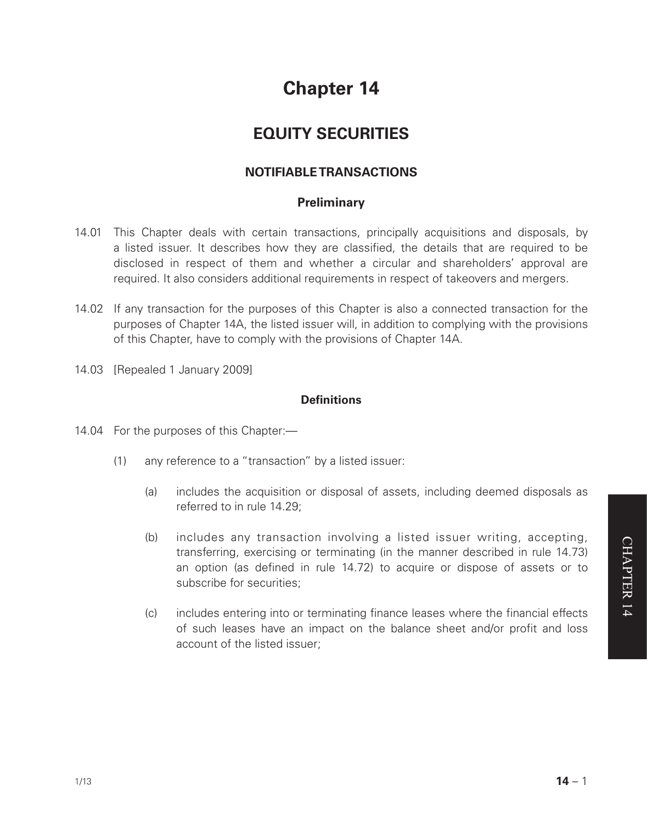# **Chapter 14**

## **EQUITY SECURITIES**

## **NOTIFIABLE TRANSACTIONS**

## **Preliminary**

- 14.01 This Chapter deals with certain transactions, principally acquisitions and disposals, by a listed issuer. It describes how they are classified, the details that are required to be disclosed in respect of them and whether a circular and shareholders' approval are required. It also considers additional requirements in respect of takeovers and mergers.
- 14.02 If any transaction for the purposes of this Chapter is also a connected transaction for the purposes of Chapter 14A, the listed issuer will, in addition to complying with the provisions of this Chapter, have to comply with the provisions of Chapter 14A.
- 14.03 [Repealed 1 January 2009]

## **Definitions**

- 14.04 For the purposes of this Chapter:—
	- (1) any reference to a "transaction" by a listed issuer:
		- (a) includes the acquisition or disposal of assets, including deemed disposals as referred to in rule 14.29;
		- (b) includes any transaction involving a listed issuer writing, accepting, transferring, exercising or terminating (in the manner described in rule 14.73) an option (as defined in rule 14.72) to acquire or dispose of assets or to subscribe for securities;
		- (c) includes entering into or terminating finance leases where the financial effects of such leases have an impact on the balance sheet and/or profit and loss account of the listed issuer;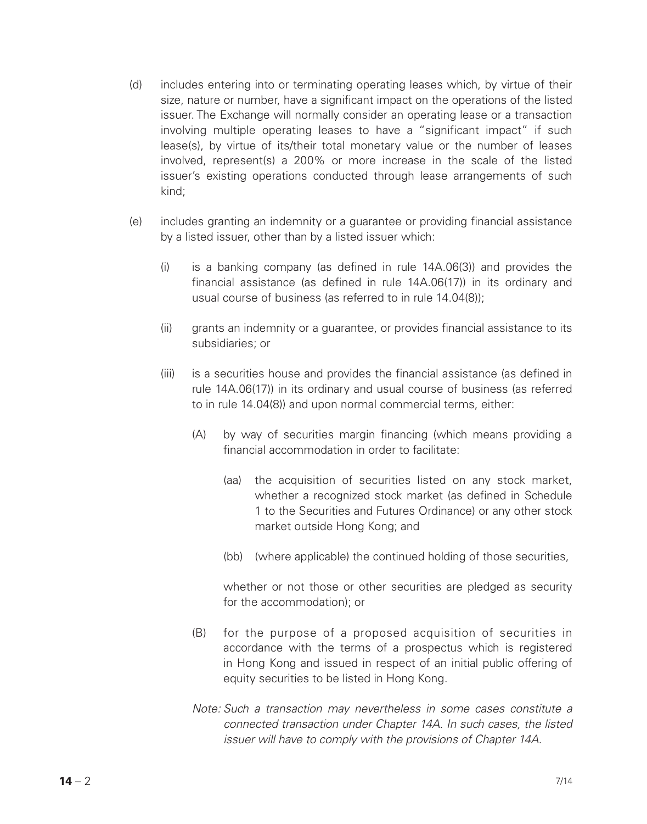- (d) includes entering into or terminating operating leases which, by virtue of their size, nature or number, have a significant impact on the operations of the listed issuer. The Exchange will normally consider an operating lease or a transaction involving multiple operating leases to have a "significant impact" if such lease(s), by virtue of its/their total monetary value or the number of leases involved, represent(s) a 200% or more increase in the scale of the listed issuer's existing operations conducted through lease arrangements of such kind;
- (e) includes granting an indemnity or a guarantee or providing financial assistance by a listed issuer, other than by a listed issuer which:
	- (i) is a banking company (as defined in rule 14A.06(3)) and provides the financial assistance (as defined in rule 14A.06(17)) in its ordinary and usual course of business (as referred to in rule 14.04(8));
	- (ii) grants an indemnity or a guarantee, or provides financial assistance to its subsidiaries; or
	- (iii) is a securities house and provides the financial assistance (as defined in rule 14A.06(17)) in its ordinary and usual course of business (as referred to in rule 14.04(8)) and upon normal commercial terms, either:
		- (A) by way of securities margin financing (which means providing a financial accommodation in order to facilitate:
			- (aa) the acquisition of securities listed on any stock market, whether a recognized stock market (as defined in Schedule 1 to the Securities and Futures Ordinance) or any other stock market outside Hong Kong; and
			- (bb) (where applicable) the continued holding of those securities,

whether or not those or other securities are pledged as security for the accommodation); or

- (B) for the purpose of a proposed acquisition of securities in accordance with the terms of a prospectus which is registered in Hong Kong and issued in respect of an initial public offering of equity securities to be listed in Hong Kong.
- *Note: Such a transaction may nevertheless in some cases constitute a connected transaction under Chapter 14A. In such cases, the listed issuer will have to comply with the provisions of Chapter 14A.*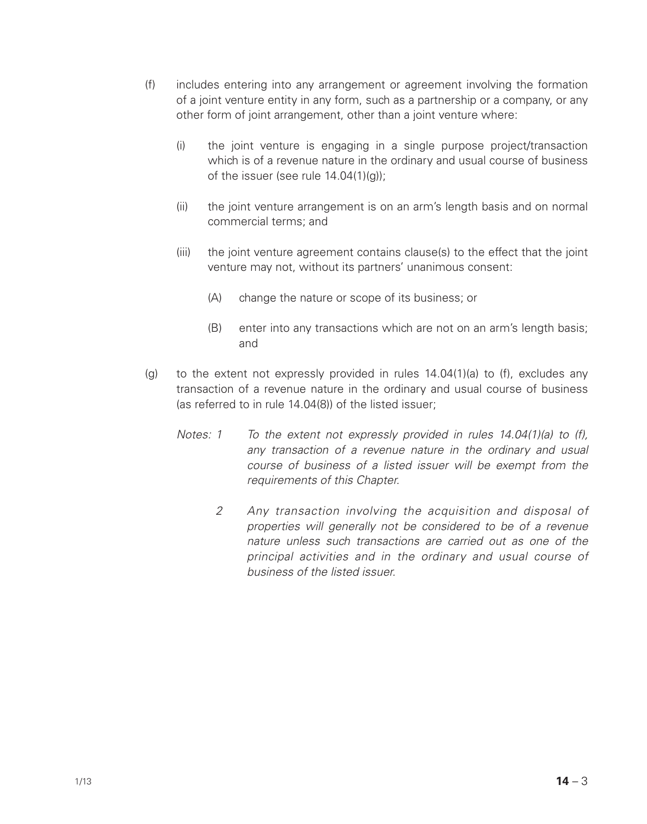- (f) includes entering into any arrangement or agreement involving the formation of a joint venture entity in any form, such as a partnership or a company, or any other form of joint arrangement, other than a joint venture where:
	- (i) the joint venture is engaging in a single purpose project/transaction which is of a revenue nature in the ordinary and usual course of business of the issuer (see rule 14.04(1)(g));
	- (ii) the joint venture arrangement is on an arm's length basis and on normal commercial terms; and
	- (iii) the joint venture agreement contains clause(s) to the effect that the joint venture may not, without its partners' unanimous consent:
		- (A) change the nature or scope of its business; or
		- (B) enter into any transactions which are not on an arm's length basis; and
- (g) to the extent not expressly provided in rules  $14.04(1)(a)$  to (f), excludes any transaction of a revenue nature in the ordinary and usual course of business (as referred to in rule 14.04(8)) of the listed issuer;
	- *Notes: 1 To the extent not expressly provided in rules 14.04(1)(a) to (f), any transaction of a revenue nature in the ordinary and usual course of business of a listed issuer will be exempt from the requirements of this Chapter.*
		- *2 Any transaction involving the acquisition and disposal of properties will generally not be considered to be of a revenue nature unless such transactions are carried out as one of the principal activities and in the ordinary and usual course of business of the listed issuer.*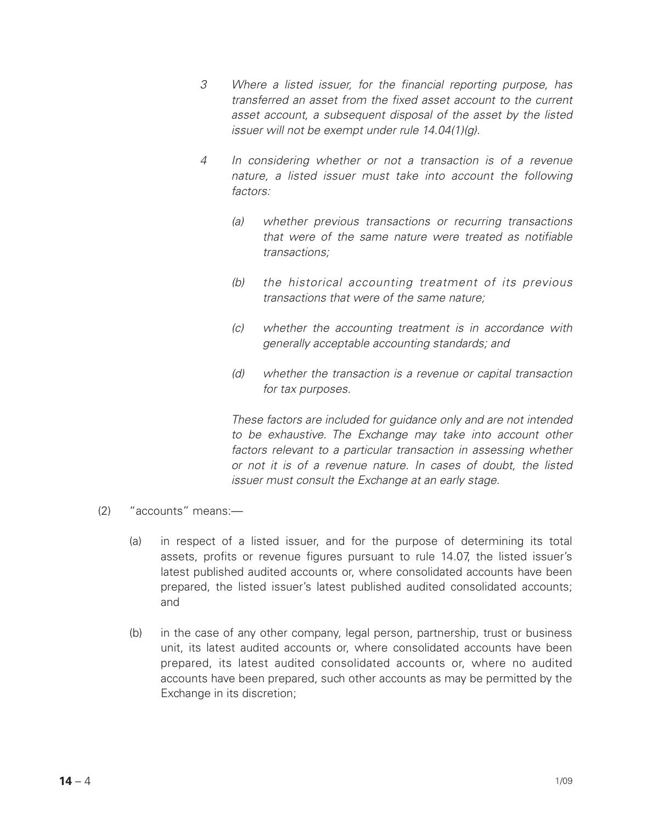- *3 Where a listed issuer, for the financial reporting purpose, has transferred an asset from the fixed asset account to the current asset account, a subsequent disposal of the asset by the listed issuer will not be exempt under rule 14.04(1)(g).*
- *4 In considering whether or not a transaction is of a revenue nature, a listed issuer must take into account the following factors:*
	- *(a) whether previous transactions or recurring transactions that were of the same nature were treated as notifiable transactions;*
	- *(b) the historical accounting treatment of its previous transactions that were of the same nature;*
	- *(c) whether the accounting treatment is in accordance with generally acceptable accounting standards; and*
	- *(d) whether the transaction is a revenue or capital transaction for tax purposes.*

*These factors are included for guidance only and are not intended to be exhaustive. The Exchange may take into account other*  factors relevant to a particular transaction in assessing whether *or not it is of a revenue nature. In cases of doubt, the listed issuer must consult the Exchange at an early stage.* 

- (2) "accounts" means:—
	- (a) in respect of a listed issuer, and for the purpose of determining its total assets, profits or revenue figures pursuant to rule 14.07, the listed issuer's latest published audited accounts or, where consolidated accounts have been prepared, the listed issuer's latest published audited consolidated accounts; and
	- (b) in the case of any other company, legal person, partnership, trust or business unit, its latest audited accounts or, where consolidated accounts have been prepared, its latest audited consolidated accounts or, where no audited accounts have been prepared, such other accounts as may be permitted by the Exchange in its discretion;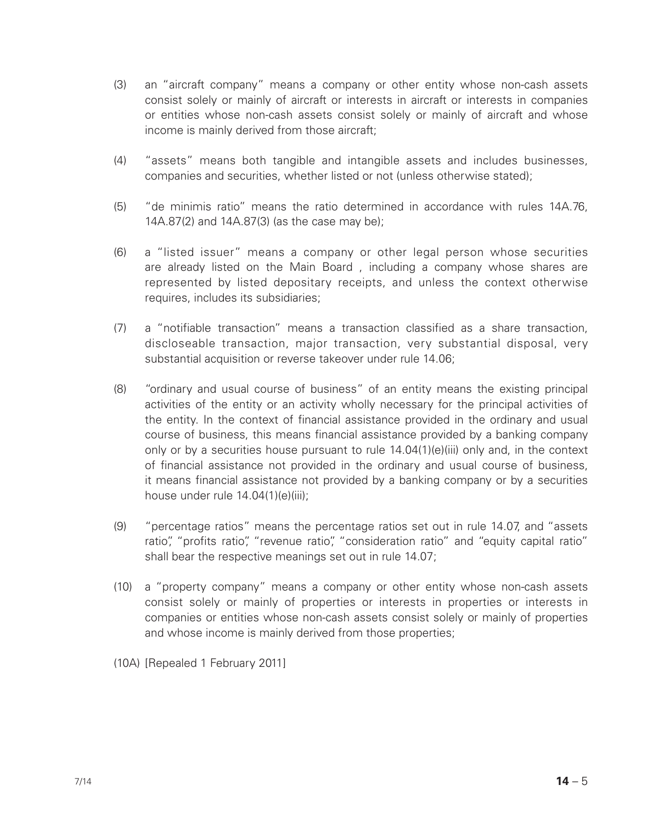- (3) an "aircraft company" means a company or other entity whose non-cash assets consist solely or mainly of aircraft or interests in aircraft or interests in companies or entities whose non-cash assets consist solely or mainly of aircraft and whose income is mainly derived from those aircraft:
- (4) "assets" means both tangible and intangible assets and includes businesses, companies and securities, whether listed or not (unless otherwise stated);
- (5) "de minimis ratio" means the ratio determined in accordance with rules 14A.76, 14A.87(2) and 14A.87(3) (as the case may be);
- (6) a "listed issuer" means a company or other legal person whose securities are already listed on the Main Board , including a company whose shares are represented by listed depositary receipts, and unless the context otherwise requires, includes its subsidiaries;
- (7) a "notifiable transaction" means a transaction classified as a share transaction, discloseable transaction, major transaction, very substantial disposal, very substantial acquisition or reverse takeover under rule 14.06;
- (8) "ordinary and usual course of business" of an entity means the existing principal activities of the entity or an activity wholly necessary for the principal activities of the entity. In the context of financial assistance provided in the ordinary and usual course of business, this means financial assistance provided by a banking company only or by a securities house pursuant to rule 14.04(1)(e)(iii) only and, in the context of financial assistance not provided in the ordinary and usual course of business, it means financial assistance not provided by a banking company or by a securities house under rule 14.04(1)(e)(iii);
- (9) "percentage ratios" means the percentage ratios set out in rule 14.07, and "assets ratio", "profits ratio", "revenue ratio", "consideration ratio" and "equity capital ratio" shall bear the respective meanings set out in rule 14.07;
- (10) a "property company" means a company or other entity whose non-cash assets consist solely or mainly of properties or interests in properties or interests in companies or entities whose non-cash assets consist solely or mainly of properties and whose income is mainly derived from those properties;
- (10A) [Repealed 1 February 2011]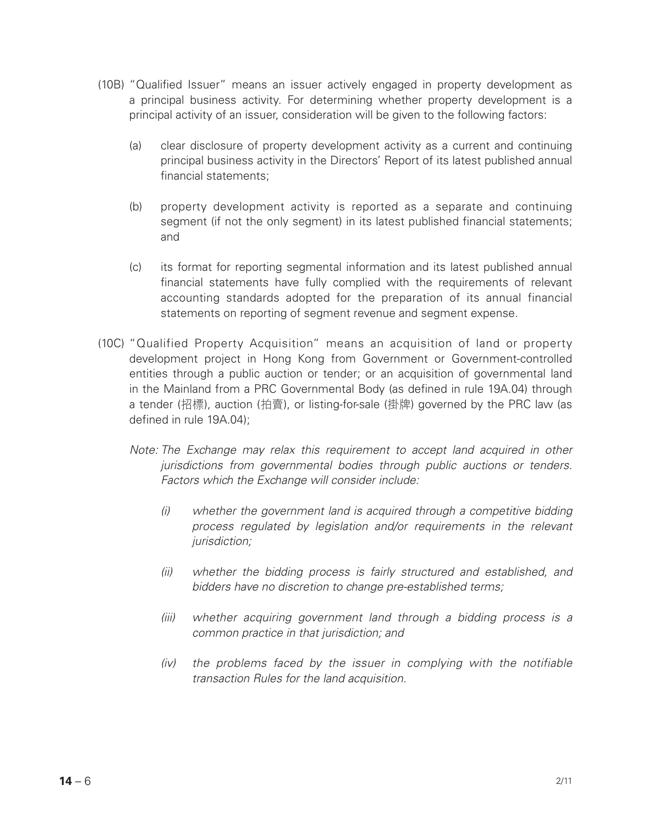- (10B) "Qualified Issuer" means an issuer actively engaged in property development as a principal business activity. For determining whether property development is a principal activity of an issuer, consideration will be given to the following factors:
	- (a) clear disclosure of property development activity as a current and continuing principal business activity in the Directors' Report of its latest published annual financial statements;
	- (b) property development activity is reported as a separate and continuing segment (if not the only segment) in its latest published financial statements; and
	- (c) its format for reporting segmental information and its latest published annual financial statements have fully complied with the requirements of relevant accounting standards adopted for the preparation of its annual financial statements on reporting of segment revenue and segment expense.
- (10C) "Qualified Property Acquisition" means an acquisition of land or property development project in Hong Kong from Government or Government-controlled entities through a public auction or tender; or an acquisition of governmental land in the Mainland from a PRC Governmental Body (as defined in rule 19A.04) through a tender (招標), auction (拍賣), or listing-for-sale (掛牌) governed by the PRC law (as defined in rule 19A.04);
	- *Note: The Exchange may relax this requirement to accept land acquired in other jurisdictions from governmental bodies through public auctions or tenders. Factors which the Exchange will consider include:*
		- *(i) whether the government land is acquired through a competitive bidding process regulated by legislation and/or requirements in the relevant jurisdiction;*
		- *(ii) whether the bidding process is fairly structured and established, and bidders have no discretion to change pre-established terms;*
		- *(iii) whether acquiring government land through a bidding process is a common practice in that jurisdiction; and*
		- *(iv) the problems faced by the issuer in complying with the notifiable transaction Rules for the land acquisition.*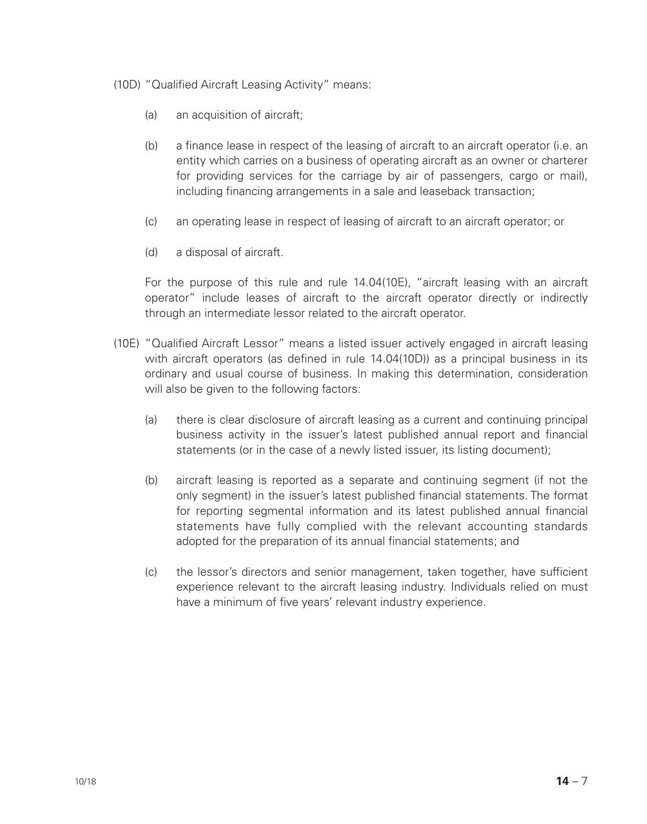- (10D) "Qualified Aircraft Leasing Activity" means:
	- (a) an acquisition of aircraft;
	- (b) a finance lease in respect of the leasing of aircraft to an aircraft operator (i.e. an entity which carries on a business of operating aircraft as an owner or charterer for providing services for the carriage by air of passengers, cargo or mail), including financing arrangements in a sale and leaseback transaction;
	- (c) an operating lease in respect of leasing of aircraft to an aircraft operator; or
	- (d) a disposal of aircraft.

For the purpose of this rule and rule 14.04(10E), "aircraft leasing with an aircraft operator" include leases of aircraft to the aircraft operator directly or indirectly through an intermediate lessor related to the aircraft operator.

- (10E) "Qualified Aircraft Lessor" means a listed issuer actively engaged in aircraft leasing with aircraft operators (as defined in rule 14.04(10D)) as a principal business in its ordinary and usual course of business. In making this determination, consideration will also be given to the following factors:
	- (a) there is clear disclosure of aircraft leasing as a current and continuing principal business activity in the issuer's latest published annual report and financial statements (or in the case of a newly listed issuer, its listing document);
	- (b) aircraft leasing is reported as a separate and continuing segment (if not the only segment) in the issuer's latest published financial statements. The format for reporting segmental information and its latest published annual financial statements have fully complied with the relevant accounting standards adopted for the preparation of its annual financial statements; and
	- (c) the lessor's directors and senior management, taken together, have sufficient experience relevant to the aircraft leasing industry. Individuals relied on must have a minimum of five years' relevant industry experience.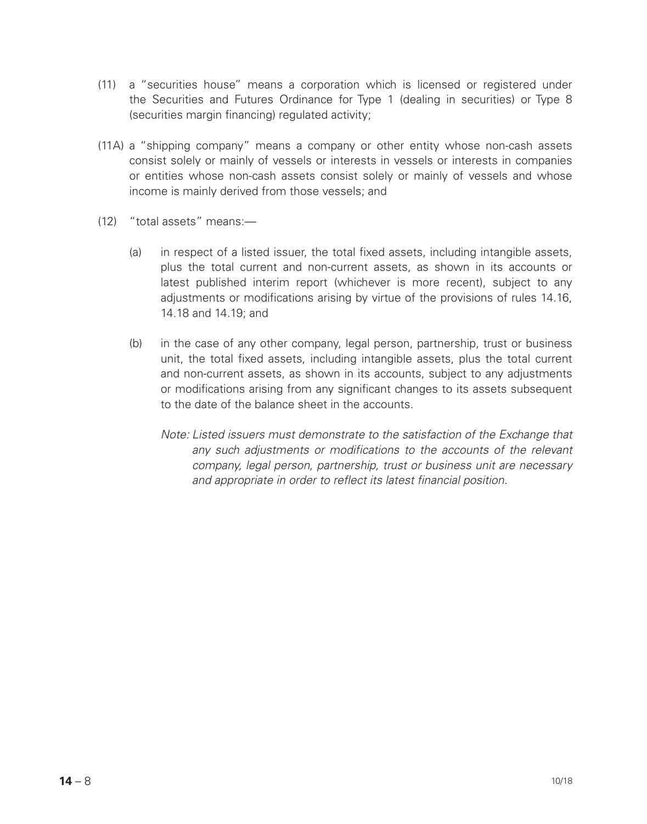- (11) a "securities house" means a corporation which is licensed or registered under the Securities and Futures Ordinance for Type 1 (dealing in securities) or Type 8 (securities margin financing) regulated activity;
- (11A) a "shipping company" means a company or other entity whose non-cash assets consist solely or mainly of vessels or interests in vessels or interests in companies or entities whose non-cash assets consist solely or mainly of vessels and whose income is mainly derived from those vessels; and
- (12) "total assets" means:—
	- (a) in respect of a listed issuer, the total fixed assets, including intangible assets, plus the total current and non-current assets, as shown in its accounts or latest published interim report (whichever is more recent), subject to any adjustments or modifications arising by virtue of the provisions of rules 14.16, 14.18 and 14.19; and
	- (b) in the case of any other company, legal person, partnership, trust or business unit, the total fixed assets, including intangible assets, plus the total current and non-current assets, as shown in its accounts, subject to any adjustments or modifications arising from any significant changes to its assets subsequent to the date of the balance sheet in the accounts.
		- *Note: Listed issuers must demonstrate to the satisfaction of the Exchange that any such adjustments or modifications to the accounts of the relevant company, legal person, partnership, trust or business unit are necessary and appropriate in order to reflect its latest financial position.*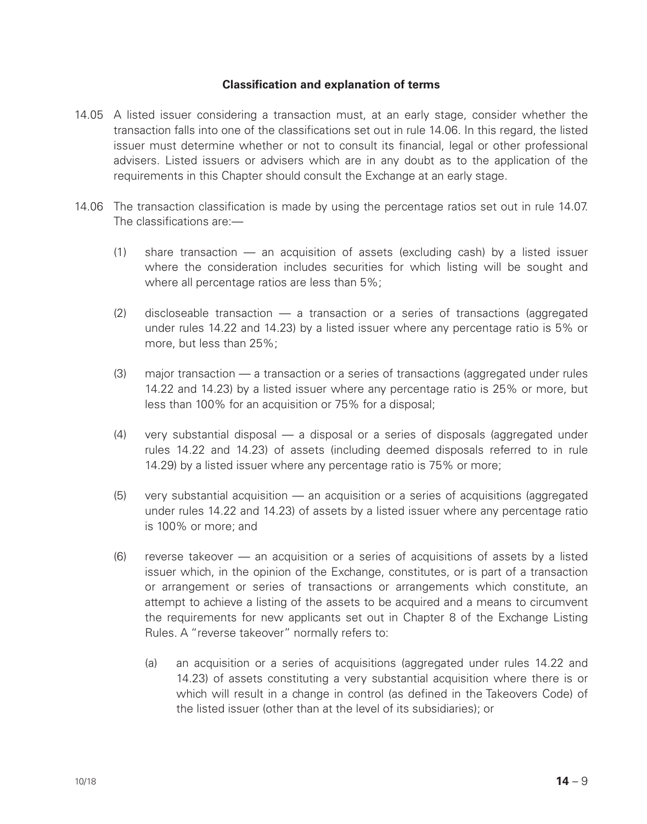## **Classification and explanation of terms**

- 14.05 A listed issuer considering a transaction must, at an early stage, consider whether the transaction falls into one of the classifications set out in rule 14.06. In this regard, the listed issuer must determine whether or not to consult its financial, legal or other professional advisers. Listed issuers or advisers which are in any doubt as to the application of the requirements in this Chapter should consult the Exchange at an early stage.
- 14.06 The transaction classification is made by using the percentage ratios set out in rule 14.07. The classifications are:—
	- (1) share transaction an acquisition of assets (excluding cash) by a listed issuer where the consideration includes securities for which listing will be sought and where all percentage ratios are less than 5%;
	- $(2)$  discloseable transaction  $-$  a transaction or a series of transactions (aggregated under rules 14.22 and 14.23) by a listed issuer where any percentage ratio is 5% or more, but less than 25%;
	- (3) major transaction a transaction or a series of transactions (aggregated under rules 14.22 and 14.23) by a listed issuer where any percentage ratio is 25% or more, but less than 100% for an acquisition or 75% for a disposal;
	- (4) very substantial disposal a disposal or a series of disposals (aggregated under rules 14.22 and 14.23) of assets (including deemed disposals referred to in rule 14.29) by a listed issuer where any percentage ratio is 75% or more;
	- (5) very substantial acquisition an acquisition or a series of acquisitions (aggregated under rules 14.22 and 14.23) of assets by a listed issuer where any percentage ratio is 100% or more; and
	- (6) reverse takeover an acquisition or a series of acquisitions of assets by a listed issuer which, in the opinion of the Exchange, constitutes, or is part of a transaction or arrangement or series of transactions or arrangements which constitute, an attempt to achieve a listing of the assets to be acquired and a means to circumvent the requirements for new applicants set out in Chapter 8 of the Exchange Listing Rules. A "reverse takeover" normally refers to:
		- (a) an acquisition or a series of acquisitions (aggregated under rules 14.22 and 14.23) of assets constituting a very substantial acquisition where there is or which will result in a change in control (as defined in the Takeovers Code) of the listed issuer (other than at the level of its subsidiaries); or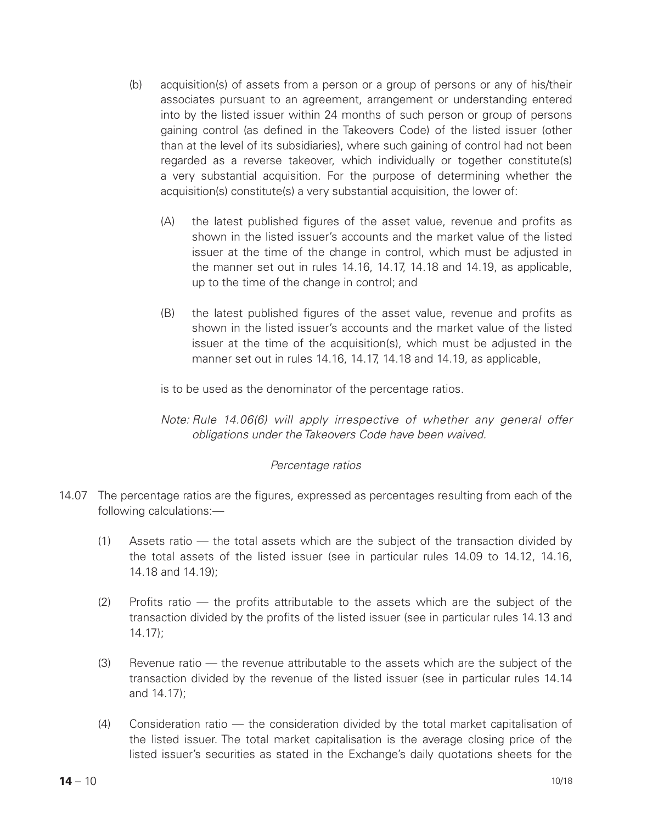- (b) acquisition(s) of assets from a person or a group of persons or any of his/their associates pursuant to an agreement, arrangement or understanding entered into by the listed issuer within 24 months of such person or group of persons gaining control (as defined in the Takeovers Code) of the listed issuer (other than at the level of its subsidiaries), where such gaining of control had not been regarded as a reverse takeover, which individually or together constitute(s) a very substantial acquisition. For the purpose of determining whether the acquisition(s) constitute(s) a very substantial acquisition, the lower of:
	- (A) the latest published figures of the asset value, revenue and profits as shown in the listed issuer's accounts and the market value of the listed issuer at the time of the change in control, which must be adjusted in the manner set out in rules 14.16, 14.17, 14.18 and 14.19, as applicable, up to the time of the change in control; and
	- (B) the latest published figures of the asset value, revenue and profits as shown in the listed issuer's accounts and the market value of the listed issuer at the time of the acquisition(s), which must be adjusted in the manner set out in rules 14.16, 14.17, 14.18 and 14.19, as applicable,

is to be used as the denominator of the percentage ratios.

*Note: Rule 14.06(6) will apply irrespective of whether any general offer obligations under the Takeovers Code have been waived.*

#### *Percentage ratios*

- 14.07 The percentage ratios are the figures, expressed as percentages resulting from each of the following calculations:—
	- (1) Assets ratio the total assets which are the subject of the transaction divided by the total assets of the listed issuer (see in particular rules 14.09 to 14.12, 14.16, 14.18 and 14.19);
	- (2) Profits ratio the profits attributable to the assets which are the subject of the transaction divided by the profits of the listed issuer (see in particular rules 14.13 and 14.17);
	- (3) Revenue ratio the revenue attributable to the assets which are the subject of the transaction divided by the revenue of the listed issuer (see in particular rules 14.14 and 14.17);
	- (4) Consideration ratio the consideration divided by the total market capitalisation of the listed issuer. The total market capitalisation is the average closing price of the listed issuer's securities as stated in the Exchange's daily quotations sheets for the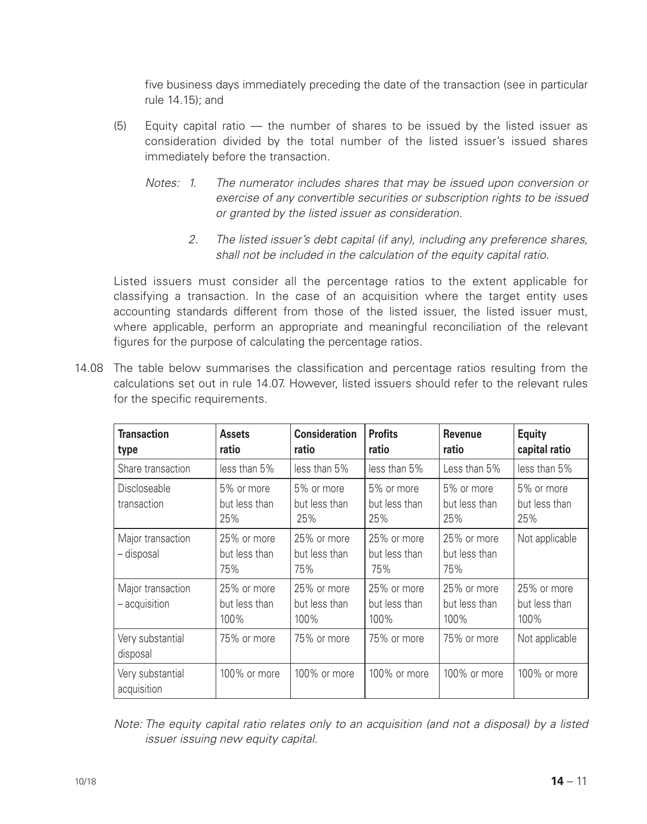five business days immediately preceding the date of the transaction (see in particular rule 14.15); and

- (5) Equity capital ratio the number of shares to be issued by the listed issuer as consideration divided by the total number of the listed issuer's issued shares immediately before the transaction.
	- *Notes: 1. The numerator includes shares that may be issued upon conversion or exercise of any convertible securities or subscription rights to be issued or granted by the listed issuer as consideration.*
		- *2. The listed issuer's debt capital (if any), including any preference shares, shall not be included in the calculation of the equity capital ratio.*

Listed issuers must consider all the percentage ratios to the extent applicable for classifying a transaction. In the case of an acquisition where the target entity uses accounting standards different from those of the listed issuer, the listed issuer must, where applicable, perform an appropriate and meaningful reconciliation of the relevant figures for the purpose of calculating the percentage ratios.

14.08 The table below summarises the classification and percentage ratios resulting from the calculations set out in rule 14.07. However, listed issuers should refer to the relevant rules for the specific requirements.

| <b>Transaction</b><br>type         | <b>Assets</b><br>ratio               | <b>Consideration</b><br>ratio        | <b>Profits</b><br>ratio              | Revenue<br>ratio                     | Equity<br>capital ratio              |
|------------------------------------|--------------------------------------|--------------------------------------|--------------------------------------|--------------------------------------|--------------------------------------|
| Share transaction                  | less than 5%                         | less than 5%                         | less than 5%                         | Less than 5%                         | less than 5%                         |
| Discloseable<br>transaction        | 5% or more<br>but less than<br>25%   | 5% or more<br>but less than<br>25%   | 5% or more<br>but less than<br>25%   | 5% or more<br>but less than<br>25%   | 5% or more<br>but less than<br>25%   |
| Major transaction<br>– disposal    | 25% or more<br>but less than<br>75%  | 25% or more<br>but less than<br>75%  | 25% or more<br>but less than<br>75%  | 25% or more<br>but less than<br>75%  | Not applicable                       |
| Major transaction<br>- acquisition | 25% or more<br>but less than<br>100% | 25% or more<br>but less than<br>100% | 25% or more<br>but less than<br>100% | 25% or more<br>but less than<br>100% | 25% or more<br>but less than<br>100% |
| Very substantial<br>disposal       | 75% or more                          | 75% or more                          | 75% or more                          | 75% or more                          | Not applicable                       |
| Very substantial<br>acquisition    | 100% or more                         | 100% or more                         | 100% or more                         | 100% or more                         | 100% or more                         |

*Note: The equity capital ratio relates only to an acquisition (and not a disposal) by a listed issuer issuing new equity capital.*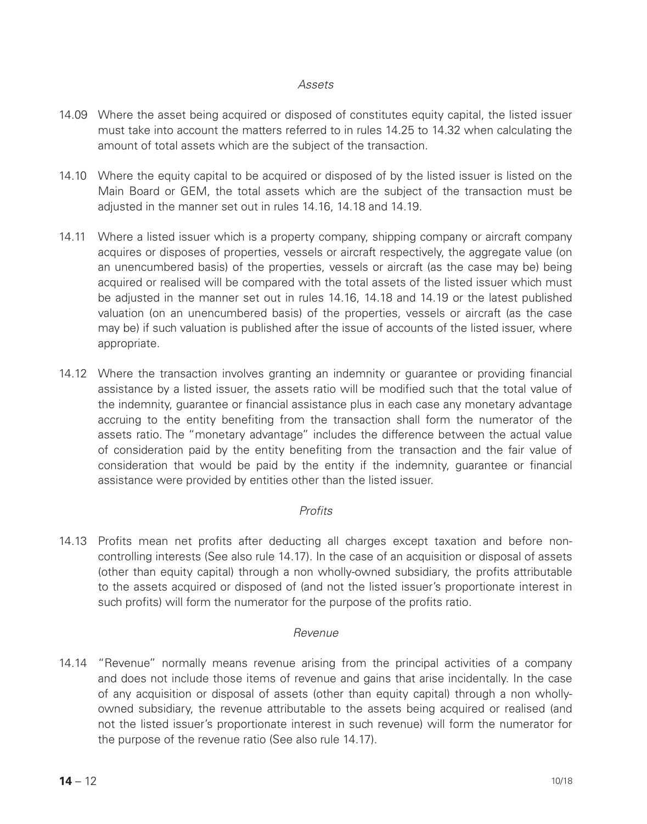#### *Assets*

- 14.09 Where the asset being acquired or disposed of constitutes equity capital, the listed issuer must take into account the matters referred to in rules 14.25 to 14.32 when calculating the amount of total assets which are the subject of the transaction.
- 14.10 Where the equity capital to be acquired or disposed of by the listed issuer is listed on the Main Board or GEM, the total assets which are the subject of the transaction must be adjusted in the manner set out in rules 14.16, 14.18 and 14.19.
- 14.11 Where a listed issuer which is a property company, shipping company or aircraft company acquires or disposes of properties, vessels or aircraft respectively, the aggregate value (on an unencumbered basis) of the properties, vessels or aircraft (as the case may be) being acquired or realised will be compared with the total assets of the listed issuer which must be adjusted in the manner set out in rules 14.16, 14.18 and 14.19 or the latest published valuation (on an unencumbered basis) of the properties, vessels or aircraft (as the case may be) if such valuation is published after the issue of accounts of the listed issuer, where appropriate.
- 14.12 Where the transaction involves granting an indemnity or guarantee or providing financial assistance by a listed issuer, the assets ratio will be modified such that the total value of the indemnity, guarantee or financial assistance plus in each case any monetary advantage accruing to the entity benefiting from the transaction shall form the numerator of the assets ratio. The "monetary advantage" includes the difference between the actual value of consideration paid by the entity benefiting from the transaction and the fair value of consideration that would be paid by the entity if the indemnity, guarantee or financial assistance were provided by entities other than the listed issuer.

## *Profits*

14.13 Profits mean net profits after deducting all charges except taxation and before noncontrolling interests (See also rule 14.17). In the case of an acquisition or disposal of assets (other than equity capital) through a non wholly-owned subsidiary, the profits attributable to the assets acquired or disposed of (and not the listed issuer's proportionate interest in such profits) will form the numerator for the purpose of the profits ratio.

#### *Revenue*

14.14 "Revenue" normally means revenue arising from the principal activities of a company and does not include those items of revenue and gains that arise incidentally. In the case of any acquisition or disposal of assets (other than equity capital) through a non whollyowned subsidiary, the revenue attributable to the assets being acquired or realised (and not the listed issuer's proportionate interest in such revenue) will form the numerator for the purpose of the revenue ratio (See also rule 14.17).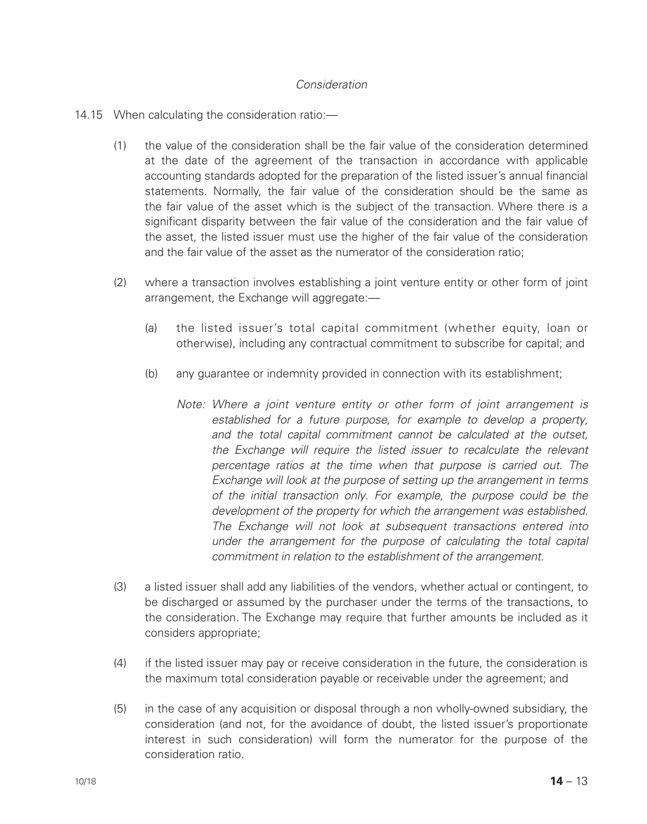## *Consideration*

#### 14.15 When calculating the consideration ratio:—

- (1) the value of the consideration shall be the fair value of the consideration determined at the date of the agreement of the transaction in accordance with applicable accounting standards adopted for the preparation of the listed issuer's annual financial statements. Normally, the fair value of the consideration should be the same as the fair value of the asset which is the subject of the transaction. Where there is a significant disparity between the fair value of the consideration and the fair value of the asset, the listed issuer must use the higher of the fair value of the consideration and the fair value of the asset as the numerator of the consideration ratio;
- (2) where a transaction involves establishing a joint venture entity or other form of joint arrangement, the Exchange will aggregate:—
	- (a) the listed issuer's total capital commitment (whether equity, loan or otherwise), including any contractual commitment to subscribe for capital; and
	- (b) any guarantee or indemnity provided in connection with its establishment;
		- *Note: Where a joint venture entity or other form of joint arrangement is established for a future purpose, for example to develop a property, and the total capital commitment cannot be calculated at the outset, the Exchange will require the listed issuer to recalculate the relevant percentage ratios at the time when that purpose is carried out. The Exchange will look at the purpose of setting up the arrangement in terms of the initial transaction only. For example, the purpose could be the development of the property for which the arrangement was established. The Exchange will not look at subsequent transactions entered into under the arrangement for the purpose of calculating the total capital commitment in relation to the establishment of the arrangement.*
- (3) a listed issuer shall add any liabilities of the vendors, whether actual or contingent, to be discharged or assumed by the purchaser under the terms of the transactions, to the consideration. The Exchange may require that further amounts be included as it considers appropriate;
- (4) if the listed issuer may pay or receive consideration in the future, the consideration is the maximum total consideration payable or receivable under the agreement; and
- (5) in the case of any acquisition or disposal through a non wholly-owned subsidiary, the consideration (and not, for the avoidance of doubt, the listed issuer's proportionate interest in such consideration) will form the numerator for the purpose of the consideration ratio.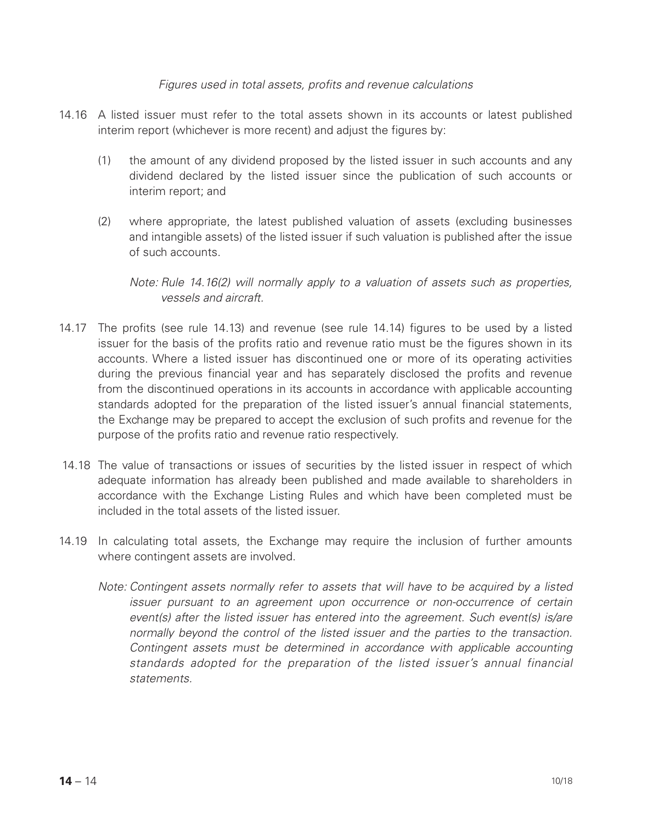#### *Figures used in total assets, profits and revenue calculations*

- 14.16 A listed issuer must refer to the total assets shown in its accounts or latest published interim report (whichever is more recent) and adjust the figures by:
	- (1) the amount of any dividend proposed by the listed issuer in such accounts and any dividend declared by the listed issuer since the publication of such accounts or interim report; and
	- (2) where appropriate, the latest published valuation of assets (excluding businesses and intangible assets) of the listed issuer if such valuation is published after the issue of such accounts.

*Note: Rule 14.16(2) will normally apply to a valuation of assets such as properties, vessels and aircraft.*

- 14.17 The profits (see rule 14.13) and revenue (see rule 14.14) figures to be used by a listed issuer for the basis of the profits ratio and revenue ratio must be the figures shown in its accounts. Where a listed issuer has discontinued one or more of its operating activities during the previous financial year and has separately disclosed the profits and revenue from the discontinued operations in its accounts in accordance with applicable accounting standards adopted for the preparation of the listed issuer's annual financial statements, the Exchange may be prepared to accept the exclusion of such profits and revenue for the purpose of the profits ratio and revenue ratio respectively.
- 14.18 The value of transactions or issues of securities by the listed issuer in respect of which adequate information has already been published and made available to shareholders in accordance with the Exchange Listing Rules and which have been completed must be included in the total assets of the listed issuer.
- 14.19 In calculating total assets, the Exchange may require the inclusion of further amounts where contingent assets are involved.
	- *Note: Contingent assets normally refer to assets that will have to be acquired by a listed issuer pursuant to an agreement upon occurrence or non-occurrence of certain event(s) after the listed issuer has entered into the agreement. Such event(s) is/are normally beyond the control of the listed issuer and the parties to the transaction. Contingent assets must be determined in accordance with applicable accounting standards adopted for the preparation of the listed issuer's annual financial statements.*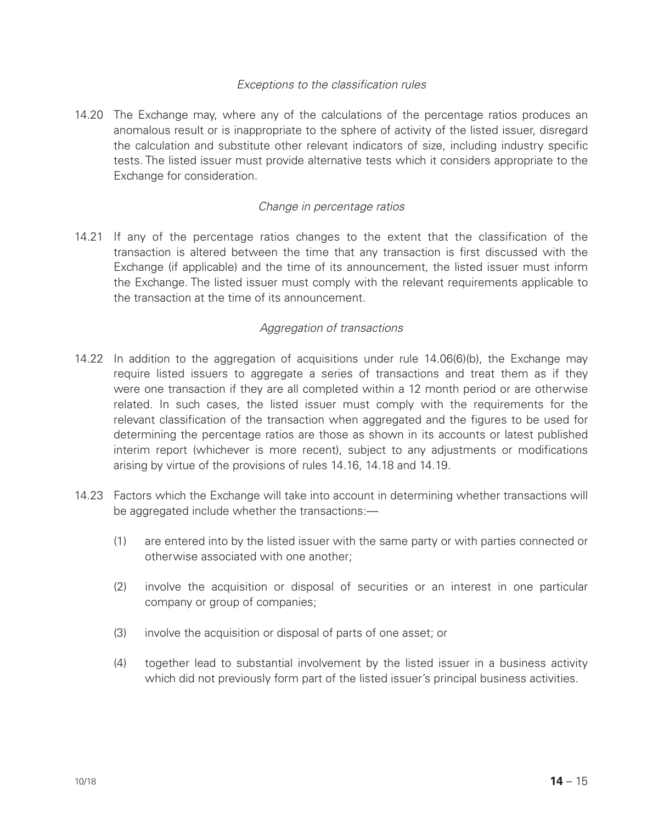## *Exceptions to the classification rules*

14.20 The Exchange may, where any of the calculations of the percentage ratios produces an anomalous result or is inappropriate to the sphere of activity of the listed issuer, disregard the calculation and substitute other relevant indicators of size, including industry specific tests. The listed issuer must provide alternative tests which it considers appropriate to the Exchange for consideration.

## *Change in percentage ratios*

14.21 If any of the percentage ratios changes to the extent that the classification of the transaction is altered between the time that any transaction is first discussed with the Exchange (if applicable) and the time of its announcement, the listed issuer must inform the Exchange. The listed issuer must comply with the relevant requirements applicable to the transaction at the time of its announcement.

## *Aggregation of transactions*

- 14.22 In addition to the aggregation of acquisitions under rule 14.06(6)(b), the Exchange may require listed issuers to aggregate a series of transactions and treat them as if they were one transaction if they are all completed within a 12 month period or are otherwise related. In such cases, the listed issuer must comply with the requirements for the relevant classification of the transaction when aggregated and the figures to be used for determining the percentage ratios are those as shown in its accounts or latest published interim report (whichever is more recent), subject to any adjustments or modifications arising by virtue of the provisions of rules 14.16, 14.18 and 14.19.
- 14.23 Factors which the Exchange will take into account in determining whether transactions will be aggregated include whether the transactions:-
	- (1) are entered into by the listed issuer with the same party or with parties connected or otherwise associated with one another;
	- (2) involve the acquisition or disposal of securities or an interest in one particular company or group of companies;
	- (3) involve the acquisition or disposal of parts of one asset; or
	- (4) together lead to substantial involvement by the listed issuer in a business activity which did not previously form part of the listed issuer's principal business activities.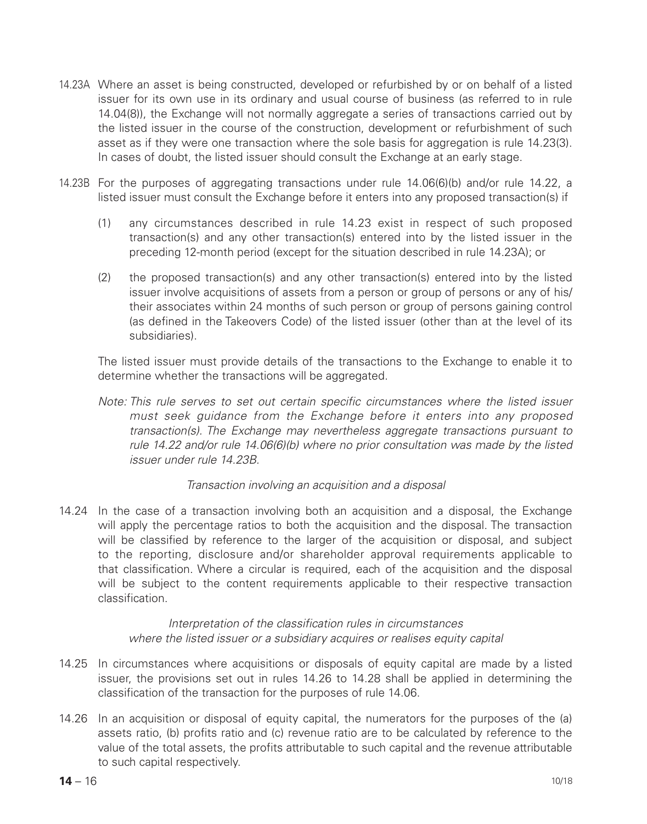- 14.23A Where an asset is being constructed, developed or refurbished by or on behalf of a listed issuer for its own use in its ordinary and usual course of business (as referred to in rule 14.04(8)), the Exchange will not normally aggregate a series of transactions carried out by the listed issuer in the course of the construction, development or refurbishment of such asset as if they were one transaction where the sole basis for aggregation is rule 14.23(3). In cases of doubt, the listed issuer should consult the Exchange at an early stage.
- 14.23B For the purposes of aggregating transactions under rule 14.06(6)(b) and/or rule 14.22, a listed issuer must consult the Exchange before it enters into any proposed transaction(s) if
	- (1) any circumstances described in rule 14.23 exist in respect of such proposed transaction(s) and any other transaction(s) entered into by the listed issuer in the preceding 12-month period (except for the situation described in rule 14.23A); or
	- (2) the proposed transaction(s) and any other transaction(s) entered into by the listed issuer involve acquisitions of assets from a person or group of persons or any of his/ their associates within 24 months of such person or group of persons gaining control (as defined in the Takeovers Code) of the listed issuer (other than at the level of its subsidiaries).

 The listed issuer must provide details of the transactions to the Exchange to enable it to determine whether the transactions will be aggregated.

*Note: This rule serves to set out certain specific circumstances where the listed issuer must seek guidance from the Exchange before it enters into any proposed transaction(s). The Exchange may nevertheless aggregate transactions pursuant to rule 14.22 and/or rule 14.06(6)(b) where no prior consultation was made by the listed issuer under rule 14.23B.*

#### *Transaction involving an acquisition and a disposal*

14.24 In the case of a transaction involving both an acquisition and a disposal, the Exchange will apply the percentage ratios to both the acquisition and the disposal. The transaction will be classified by reference to the larger of the acquisition or disposal, and subject to the reporting, disclosure and/or shareholder approval requirements applicable to that classification. Where a circular is required, each of the acquisition and the disposal will be subject to the content requirements applicable to their respective transaction classification.

> *Interpretation of the classification rules in circumstances where the listed issuer or a subsidiary acquires or realises equity capital*

- 14.25 In circumstances where acquisitions or disposals of equity capital are made by a listed issuer, the provisions set out in rules 14.26 to 14.28 shall be applied in determining the classification of the transaction for the purposes of rule 14.06.
- 14.26 In an acquisition or disposal of equity capital, the numerators for the purposes of the (a) assets ratio, (b) profits ratio and (c) revenue ratio are to be calculated by reference to the value of the total assets, the profits attributable to such capital and the revenue attributable to such capital respectively.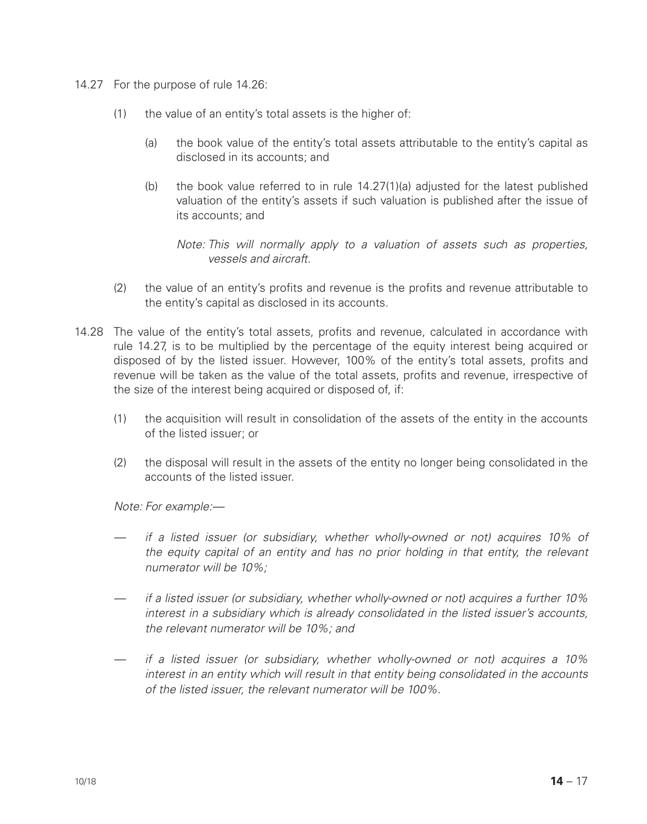- 14.27 For the purpose of rule 14.26:
	- (1) the value of an entity's total assets is the higher of:
		- (a) the book value of the entity's total assets attributable to the entity's capital as disclosed in its accounts; and
		- (b) the book value referred to in rule 14.27(1)(a) adjusted for the latest published valuation of the entity's assets if such valuation is published after the issue of its accounts; and

*Note: This will normally apply to a valuation of assets such as properties, vessels and aircraft.*

- (2) the value of an entity's profits and revenue is the profits and revenue attributable to the entity's capital as disclosed in its accounts.
- 14.28 The value of the entity's total assets, profits and revenue, calculated in accordance with rule 14.27, is to be multiplied by the percentage of the equity interest being acquired or disposed of by the listed issuer. However, 100% of the entity's total assets, profits and revenue will be taken as the value of the total assets, profits and revenue, irrespective of the size of the interest being acquired or disposed of, if:
	- (1) the acquisition will result in consolidation of the assets of the entity in the accounts of the listed issuer; or
	- (2) the disposal will result in the assets of the entity no longer being consolidated in the accounts of the listed issuer.

*Note: For example:—*

- *if a listed issuer (or subsidiary, whether wholly-owned or not) acquires 10% of the equity capital of an entity and has no prior holding in that entity, the relevant numerator will be 10%;*
- *if a listed issuer (or subsidiary, whether wholly-owned or not) acquires a further 10% interest in a subsidiary which is already consolidated in the listed issuer's accounts, the relevant numerator will be 10%; and*
- *if a listed issuer (or subsidiary, whether wholly-owned or not) acquires a 10% interest in an entity which will result in that entity being consolidated in the accounts of the listed issuer, the relevant numerator will be 100%.*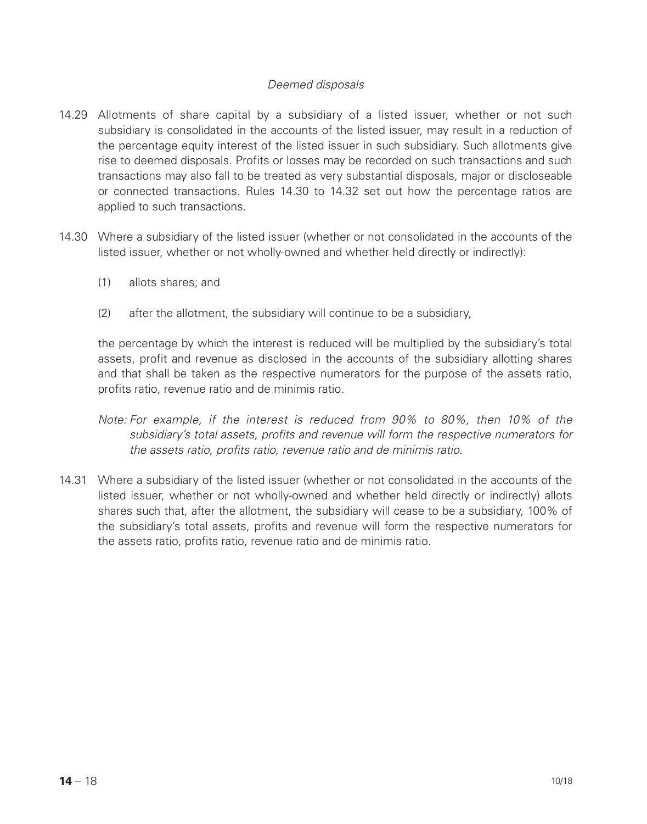## *Deemed disposals*

- 14.29 Allotments of share capital by a subsidiary of a listed issuer, whether or not such subsidiary is consolidated in the accounts of the listed issuer, may result in a reduction of the percentage equity interest of the listed issuer in such subsidiary. Such allotments give rise to deemed disposals. Profits or losses may be recorded on such transactions and such transactions may also fall to be treated as very substantial disposals, major or discloseable or connected transactions. Rules 14.30 to 14.32 set out how the percentage ratios are applied to such transactions.
- 14.30 Where a subsidiary of the listed issuer (whether or not consolidated in the accounts of the listed issuer, whether or not wholly-owned and whether held directly or indirectly):
	- (1) allots shares; and
	- (2) after the allotment, the subsidiary will continue to be a subsidiary,

the percentage by which the interest is reduced will be multiplied by the subsidiary's total assets, profit and revenue as disclosed in the accounts of the subsidiary allotting shares and that shall be taken as the respective numerators for the purpose of the assets ratio, profits ratio, revenue ratio and de minimis ratio.

- *Note: For example, if the interest is reduced from 90% to 80%, then 10% of the subsidiary's total assets, profits and revenue will form the respective numerators for the assets ratio, profits ratio, revenue ratio and de minimis ratio.*
- 14.31 Where a subsidiary of the listed issuer (whether or not consolidated in the accounts of the listed issuer, whether or not wholly-owned and whether held directly or indirectly) allots shares such that, after the allotment, the subsidiary will cease to be a subsidiary, 100% of the subsidiary's total assets, profits and revenue will form the respective numerators for the assets ratio, profits ratio, revenue ratio and de minimis ratio.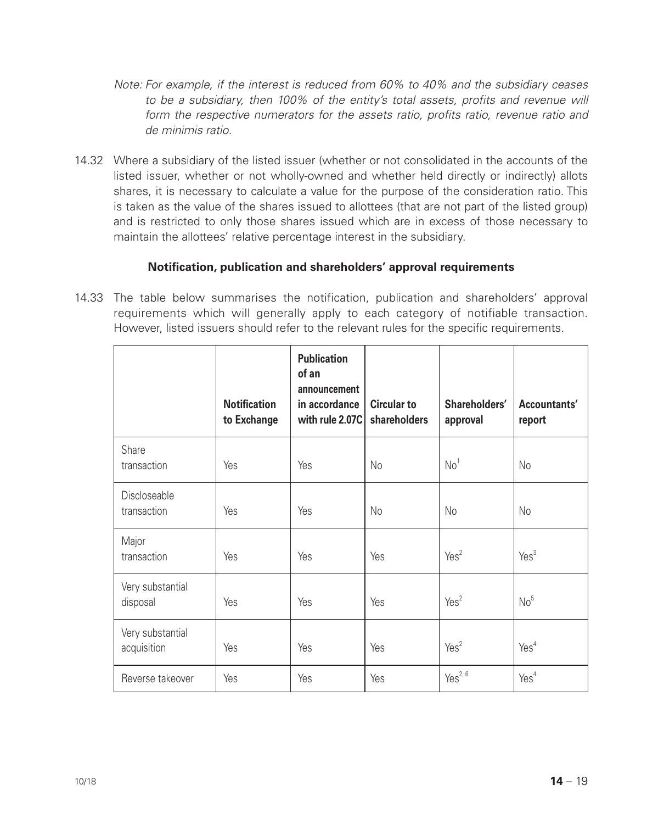- *Note: For example, if the interest is reduced from 60% to 40% and the subsidiary ceases to be a subsidiary, then 100% of the entity's total assets, profits and revenue will form the respective numerators for the assets ratio, profits ratio, revenue ratio and de minimis ratio.*
- 14.32 Where a subsidiary of the listed issuer (whether or not consolidated in the accounts of the listed issuer, whether or not wholly-owned and whether held directly or indirectly) allots shares, it is necessary to calculate a value for the purpose of the consideration ratio. This is taken as the value of the shares issued to allottees (that are not part of the listed group) and is restricted to only those shares issued which are in excess of those necessary to maintain the allottees' relative percentage interest in the subsidiary.

## **Notification, publication and shareholders' approval requirements**

14.33 The table below summarises the notification, publication and shareholders' approval requirements which will generally apply to each category of notifiable transaction. However, listed issuers should refer to the relevant rules for the specific requirements.

|                                 | <b>Notification</b><br>to Exchange | <b>Publication</b><br>of an<br>announcement<br>in accordance<br>with rule 2.07C | <b>Circular to</b><br>shareholders | Shareholders'<br>approval | Accountants'<br>report |
|---------------------------------|------------------------------------|---------------------------------------------------------------------------------|------------------------------------|---------------------------|------------------------|
| Share<br>transaction            | <b>Yes</b>                         | Yes                                                                             | No                                 | No <sup>1</sup>           | No                     |
| Discloseable<br>transaction     | Yes                                | <b>Yes</b>                                                                      | No                                 | No                        | No                     |
| Major<br>transaction            | Yes                                | <b>Yes</b>                                                                      | Yes                                | Yes <sup>2</sup>          | Yes <sup>3</sup>       |
| Very substantial<br>disposal    | Yes                                | <b>Yes</b>                                                                      | Yes                                | Yes <sup>2</sup>          | No <sup>5</sup>        |
| Very substantial<br>acquisition | Yes                                | <b>Yes</b>                                                                      | Yes                                | Yes <sup>2</sup>          | Yes <sup>4</sup>       |
| Reverse takeover                | <b>Yes</b>                         | Yes                                                                             | Yes                                | Yes <sup>2, 6</sup>       | Yes <sup>4</sup>       |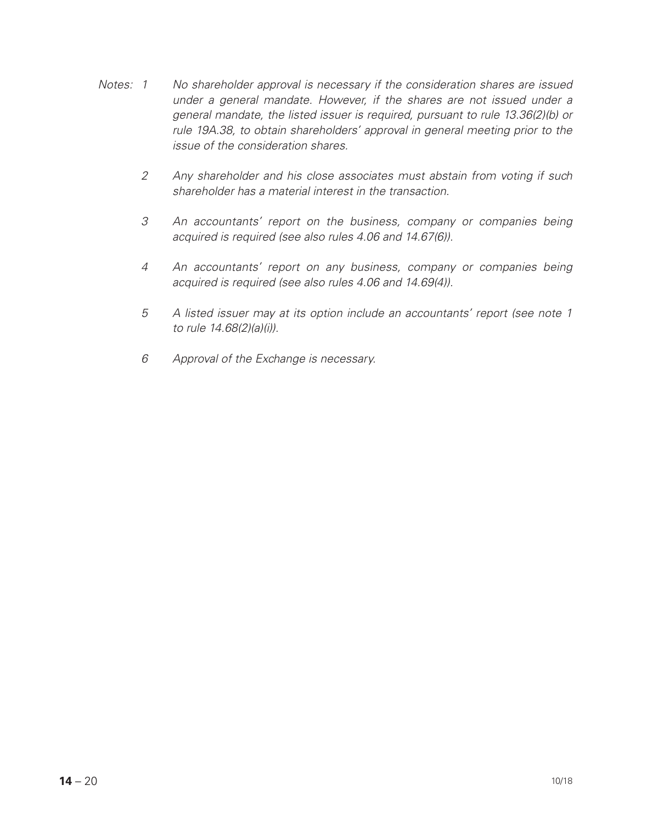- *Notes: 1 No shareholder approval is necessary if the consideration shares are issued under a general mandate. However, if the shares are not issued under a general mandate, the listed issuer is required, pursuant to rule 13.36(2)(b) or rule 19A.38, to obtain shareholders' approval in general meeting prior to the issue of the consideration shares.*
	- *2 Any shareholder and his close associates must abstain from voting if such shareholder has a material interest in the transaction.*
	- *3 An accountants' report on the business, company or companies being acquired is required (see also rules 4.06 and 14.67(6)).*
	- *4 An accountants' report on any business, company or companies being acquired is required (see also rules 4.06 and 14.69(4)).*
	- *5 A listed issuer may at its option include an accountants' report (see note 1 to rule 14.68(2)(a)(i)).*
	- *6 Approval of the Exchange is necessary.*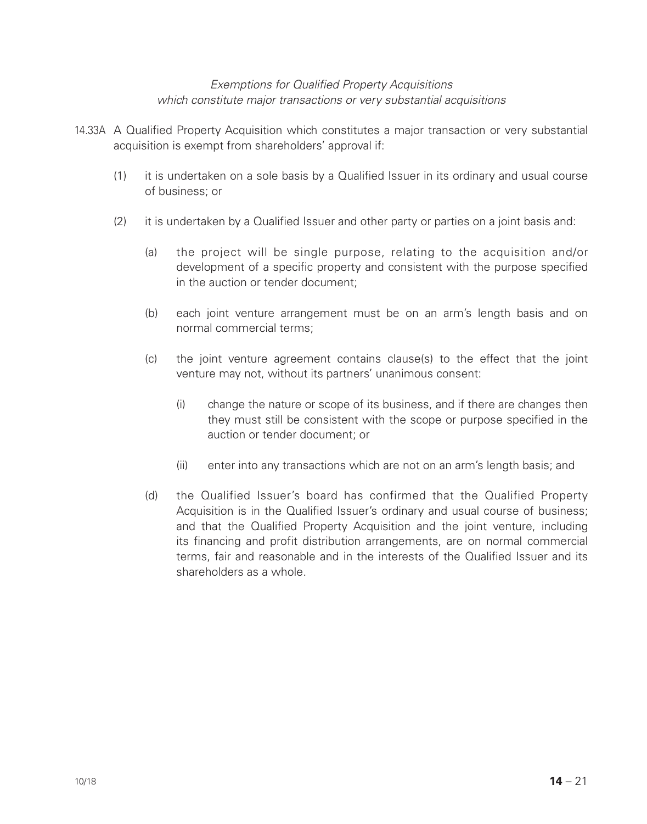## *Exemptions for Qualified Property Acquisitions which constitute major transactions or very substantial acquisitions*

- 14.33A A Qualified Property Acquisition which constitutes a major transaction or very substantial acquisition is exempt from shareholders' approval if:
	- (1) it is undertaken on a sole basis by a Qualified Issuer in its ordinary and usual course of business; or
	- (2) it is undertaken by a Qualified Issuer and other party or parties on a joint basis and:
		- (a) the project will be single purpose, relating to the acquisition and/or development of a specific property and consistent with the purpose specified in the auction or tender document;
		- (b) each joint venture arrangement must be on an arm's length basis and on normal commercial terms;
		- (c) the joint venture agreement contains clause(s) to the effect that the joint venture may not, without its partners' unanimous consent:
			- (i) change the nature or scope of its business, and if there are changes then they must still be consistent with the scope or purpose specified in the auction or tender document; or
			- (ii) enter into any transactions which are not on an arm's length basis; and
		- (d) the Qualified Issuer's board has confirmed that the Qualified Property Acquisition is in the Qualified Issuer's ordinary and usual course of business; and that the Qualified Property Acquisition and the joint venture, including its financing and profit distribution arrangements, are on normal commercial terms, fair and reasonable and in the interests of the Qualified Issuer and its shareholders as a whole.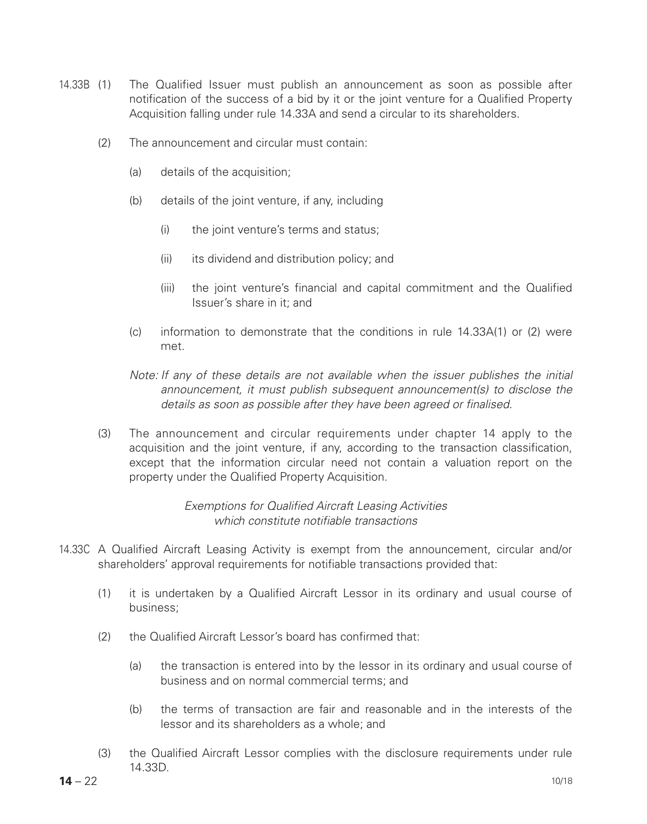- 14.33B (1) The Qualified Issuer must publish an announcement as soon as possible after notification of the success of a bid by it or the joint venture for a Qualified Property Acquisition falling under rule 14.33A and send a circular to its shareholders.
	- (2) The announcement and circular must contain:
		- (a) details of the acquisition;
		- (b) details of the joint venture, if any, including
			- (i) the joint venture's terms and status;
			- (ii) its dividend and distribution policy; and
			- (iii) the joint venture's financial and capital commitment and the Qualified Issuer's share in it; and
		- (c) information to demonstrate that the conditions in rule 14.33A(1) or (2) were met.
		- *Note: If any of these details are not available when the issuer publishes the initial* announcement, it must publish subsequent announcement(s) to disclose the *details as soon as possible after they have been agreed or finalised.*
	- (3) The announcement and circular requirements under chapter 14 apply to the acquisition and the joint venture, if any, according to the transaction classification, except that the information circular need not contain a valuation report on the property under the Qualified Property Acquisition.

## *Exemptions for Qualified Aircraft Leasing Activities which constitute notifiable transactions*

- 14.33C A Qualified Aircraft Leasing Activity is exempt from the announcement, circular and/or shareholders' approval requirements for notifiable transactions provided that:
	- (1) it is undertaken by a Qualified Aircraft Lessor in its ordinary and usual course of business;
	- (2) the Qualified Aircraft Lessor's board has confirmed that:
		- (a) the transaction is entered into by the lessor in its ordinary and usual course of business and on normal commercial terms; and
		- (b) the terms of transaction are fair and reasonable and in the interests of the lessor and its shareholders as a whole; and
	- (3) the Qualified Aircraft Lessor complies with the disclosure requirements under rule 14.33D.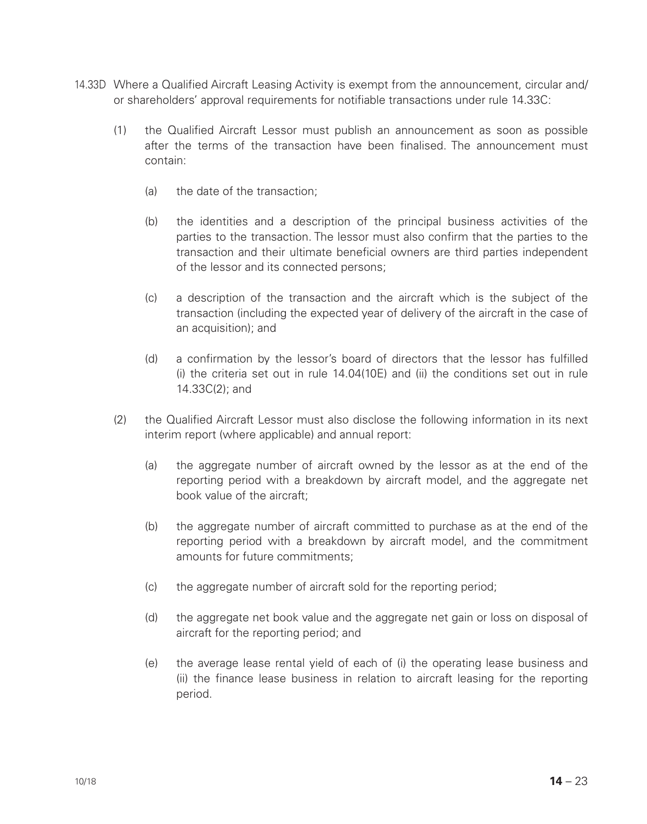- 14.33D Where a Qualified Aircraft Leasing Activity is exempt from the announcement, circular and/ or shareholders' approval requirements for notifiable transactions under rule 14.33C:
	- (1) the Qualified Aircraft Lessor must publish an announcement as soon as possible after the terms of the transaction have been finalised. The announcement must contain:
		- (a) the date of the transaction;
		- (b) the identities and a description of the principal business activities of the parties to the transaction. The lessor must also confirm that the parties to the transaction and their ultimate beneficial owners are third parties independent of the lessor and its connected persons;
		- (c) a description of the transaction and the aircraft which is the subject of the transaction (including the expected year of delivery of the aircraft in the case of an acquisition); and
		- (d) a confirmation by the lessor's board of directors that the lessor has fulfilled (i) the criteria set out in rule  $14.04(10)$  and (ii) the conditions set out in rule 14.33C(2); and
	- (2) the Qualified Aircraft Lessor must also disclose the following information in its next interim report (where applicable) and annual report:
		- (a) the aggregate number of aircraft owned by the lessor as at the end of the reporting period with a breakdown by aircraft model, and the aggregate net book value of the aircraft;
		- (b) the aggregate number of aircraft committed to purchase as at the end of the reporting period with a breakdown by aircraft model, and the commitment amounts for future commitments;
		- (c) the aggregate number of aircraft sold for the reporting period;
		- (d) the aggregate net book value and the aggregate net gain or loss on disposal of aircraft for the reporting period; and
		- (e) the average lease rental yield of each of (i) the operating lease business and (ii) the finance lease business in relation to aircraft leasing for the reporting period.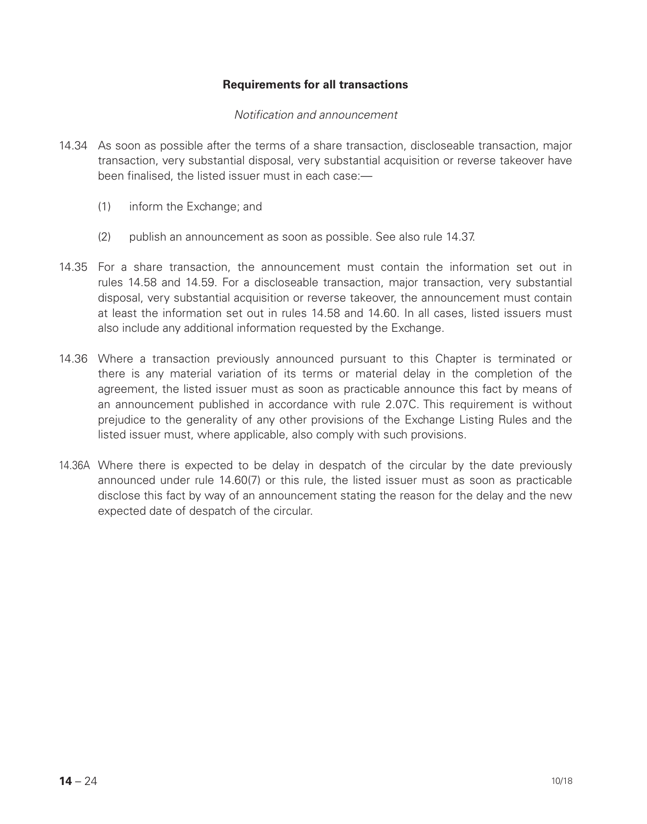## **Requirements for all transactions**

#### *Notification and announcement*

- 14.34 As soon as possible after the terms of a share transaction, discloseable transaction, major transaction, very substantial disposal, very substantial acquisition or reverse takeover have been finalised, the listed issuer must in each case:—
	- (1) inform the Exchange; and
	- (2) publish an announcement as soon as possible. See also rule 14.37.
- 14.35 For a share transaction, the announcement must contain the information set out in rules 14.58 and 14.59. For a discloseable transaction, major transaction, very substantial disposal, very substantial acquisition or reverse takeover, the announcement must contain at least the information set out in rules 14.58 and 14.60. In all cases, listed issuers must also include any additional information requested by the Exchange.
- 14.36 Where a transaction previously announced pursuant to this Chapter is terminated or there is any material variation of its terms or material delay in the completion of the agreement, the listed issuer must as soon as practicable announce this fact by means of an announcement published in accordance with rule 2.07C. This requirement is without prejudice to the generality of any other provisions of the Exchange Listing Rules and the listed issuer must, where applicable, also comply with such provisions.
- 14.36A Where there is expected to be delay in despatch of the circular by the date previously announced under rule 14.60(7) or this rule, the listed issuer must as soon as practicable disclose this fact by way of an announcement stating the reason for the delay and the new expected date of despatch of the circular.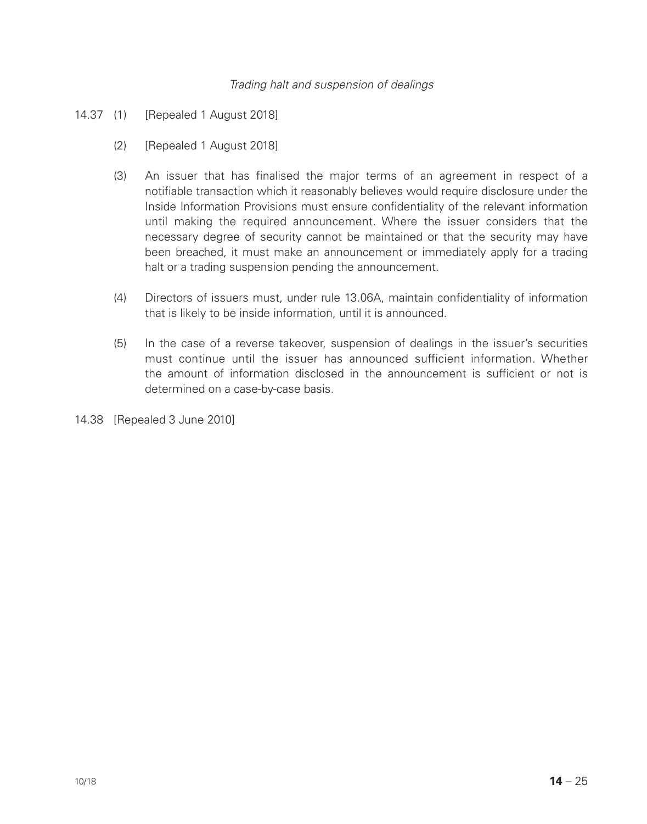#### *Trading halt and suspension of dealings*

- 14.37 (1) [Repealed 1 August 2018]
	- (2) [Repealed 1 August 2018]
	- (3) An issuer that has finalised the major terms of an agreement in respect of a notifiable transaction which it reasonably believes would require disclosure under the Inside Information Provisions must ensure confidentiality of the relevant information until making the required announcement. Where the issuer considers that the necessary degree of security cannot be maintained or that the security may have been breached, it must make an announcement or immediately apply for a trading halt or a trading suspension pending the announcement.
	- (4) Directors of issuers must, under rule 13.06A, maintain confidentiality of information that is likely to be inside information, until it is announced.
	- (5) In the case of a reverse takeover, suspension of dealings in the issuer's securities must continue until the issuer has announced sufficient information. Whether the amount of information disclosed in the announcement is sufficient or not is determined on a case-by-case basis.

14.38 [Repealed 3 June 2010]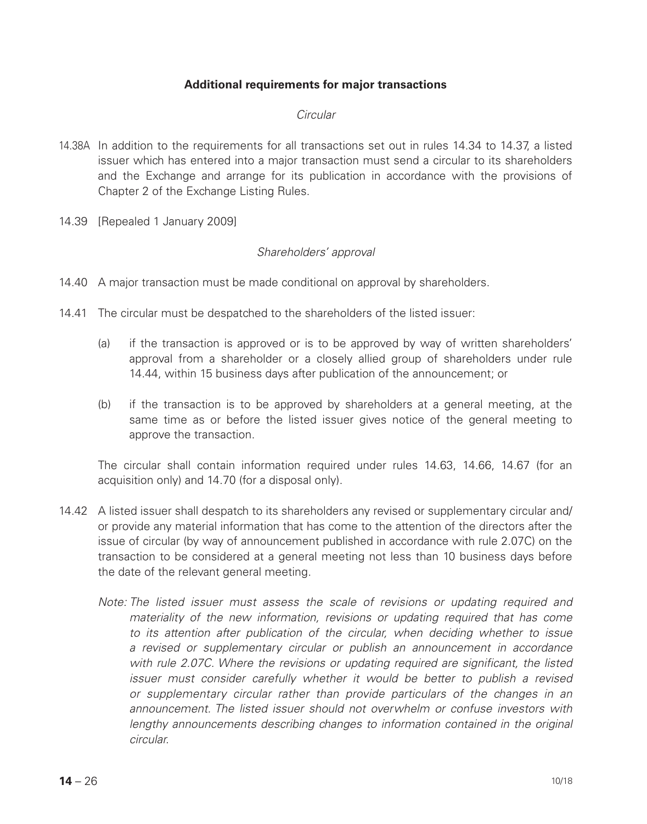## **Additional requirements for major transactions**

#### *Circular*

- 14.38A In addition to the requirements for all transactions set out in rules 14.34 to 14.37, a listed issuer which has entered into a major transaction must send a circular to its shareholders and the Exchange and arrange for its publication in accordance with the provisions of Chapter 2 of the Exchange Listing Rules.
- 14.39 [Repealed 1 January 2009]

#### *Shareholders' approval*

- 14.40 A major transaction must be made conditional on approval by shareholders.
- 14.41 The circular must be despatched to the shareholders of the listed issuer:
	- (a) if the transaction is approved or is to be approved by way of written shareholders' approval from a shareholder or a closely allied group of shareholders under rule 14.44, within 15 business days after publication of the announcement; or
	- (b) if the transaction is to be approved by shareholders at a general meeting, at the same time as or before the listed issuer gives notice of the general meeting to approve the transaction.

 The circular shall contain information required under rules 14.63, 14.66, 14.67 (for an acquisition only) and 14.70 (for a disposal only).

- 14.42 A listed issuer shall despatch to its shareholders any revised or supplementary circular and/ or provide any material information that has come to the attention of the directors after the issue of circular (by way of announcement published in accordance with rule 2.07C) on the transaction to be considered at a general meeting not less than 10 business days before the date of the relevant general meeting.
	- *Note: The listed issuer must assess the scale of revisions or updating required and materiality of the new information, revisions or updating required that has come to its attention after publication of the circular, when deciding whether to issue a revised or supplementary circular or publish an announcement in accordance with rule 2.07C. Where the revisions or updating required are significant, the listed issuer must consider carefully whether it would be better to publish a revised or supplementary circular rather than provide particulars of the changes in an announcement. The listed issuer should not overwhelm or confuse investors with lengthy announcements describing changes to information contained in the original circular.*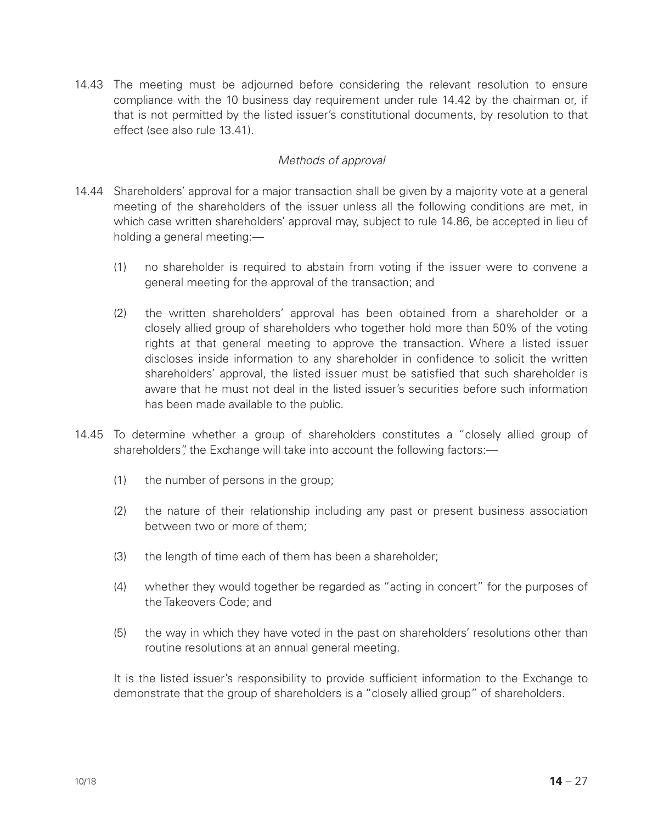14.43 The meeting must be adjourned before considering the relevant resolution to ensure compliance with the 10 business day requirement under rule 14.42 by the chairman or, if that is not permitted by the listed issuer's constitutional documents, by resolution to that effect (see also rule 13.41).

## *Methods of approval*

- 14.44 Shareholders' approval for a major transaction shall be given by a majority vote at a general meeting of the shareholders of the issuer unless all the following conditions are met, in which case written shareholders' approval may, subject to rule 14.86, be accepted in lieu of holding a general meeting:—
	- (1) no shareholder is required to abstain from voting if the issuer were to convene a general meeting for the approval of the transaction; and
	- (2) the written shareholders' approval has been obtained from a shareholder or a closely allied group of shareholders who together hold more than 50% of the voting rights at that general meeting to approve the transaction. Where a listed issuer discloses inside information to any shareholder in confidence to solicit the written shareholders' approval, the listed issuer must be satisfied that such shareholder is aware that he must not deal in the listed issuer's securities before such information has been made available to the public.
- 14.45 To determine whether a group of shareholders constitutes a "closely allied group of shareholders", the Exchange will take into account the following factors:—
	- (1) the number of persons in the group;
	- (2) the nature of their relationship including any past or present business association between two or more of them;
	- (3) the length of time each of them has been a shareholder;
	- (4) whether they would together be regarded as "acting in concert" for the purposes of the Takeovers Code; and
	- (5) the way in which they have voted in the past on shareholders' resolutions other than routine resolutions at an annual general meeting.

It is the listed issuer's responsibility to provide sufficient information to the Exchange to demonstrate that the group of shareholders is a "closely allied group" of shareholders.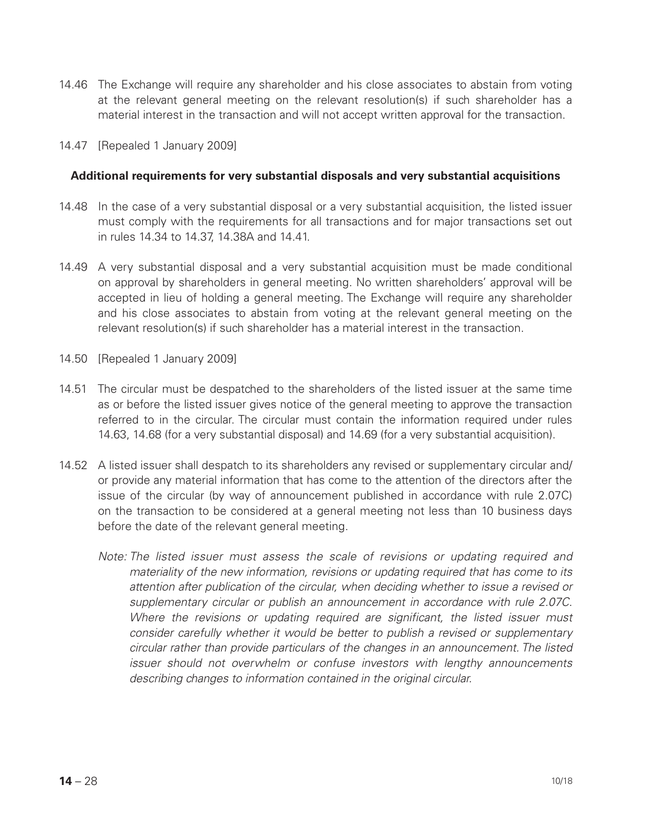- 14.46 The Exchange will require any shareholder and his close associates to abstain from voting at the relevant general meeting on the relevant resolution(s) if such shareholder has a material interest in the transaction and will not accept written approval for the transaction.
- 14.47 [Repealed 1 January 2009]

#### **Additional requirements for very substantial disposals and very substantial acquisitions**

- 14.48 In the case of a very substantial disposal or a very substantial acquisition, the listed issuer must comply with the requirements for all transactions and for major transactions set out in rules 14.34 to 14.37, 14.38A and 14.41.
- 14.49 A very substantial disposal and a very substantial acquisition must be made conditional on approval by shareholders in general meeting. No written shareholders' approval will be accepted in lieu of holding a general meeting. The Exchange will require any shareholder and his close associates to abstain from voting at the relevant general meeting on the relevant resolution(s) if such shareholder has a material interest in the transaction.
- 14.50 [Repealed 1 January 2009]
- 14.51 The circular must be despatched to the shareholders of the listed issuer at the same time as or before the listed issuer gives notice of the general meeting to approve the transaction referred to in the circular. The circular must contain the information required under rules 14.63, 14.68 (for a very substantial disposal) and 14.69 (for a very substantial acquisition).
- 14.52 A listed issuer shall despatch to its shareholders any revised or supplementary circular and/ or provide any material information that has come to the attention of the directors after the issue of the circular (by way of announcement published in accordance with rule 2.07C) on the transaction to be considered at a general meeting not less than 10 business days before the date of the relevant general meeting.
	- *Note: The listed issuer must assess the scale of revisions or updating required and materiality of the new information, revisions or updating required that has come to its attention after publication of the circular, when deciding whether to issue a revised or supplementary circular or publish an announcement in accordance with rule 2.07C. Where the revisions or updating required are significant, the listed issuer must consider carefully whether it would be better to publish a revised or supplementary circular rather than provide particulars of the changes in an announcement. The listed issuer should not overwhelm or confuse investors with lengthy announcements describing changes to information contained in the original circular.*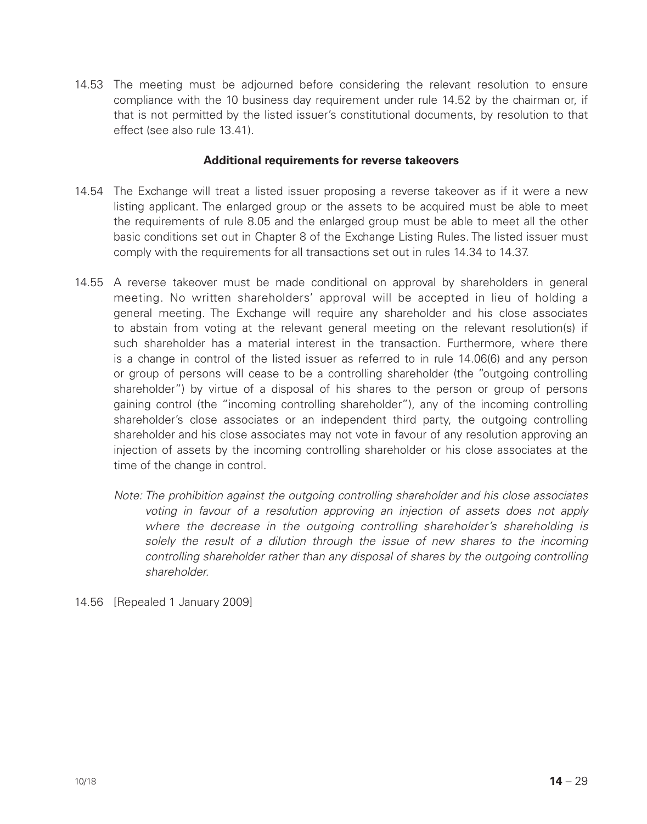14.53 The meeting must be adjourned before considering the relevant resolution to ensure compliance with the 10 business day requirement under rule 14.52 by the chairman or, if that is not permitted by the listed issuer's constitutional documents, by resolution to that effect (see also rule 13.41).

#### **Additional requirements for reverse takeovers**

- 14.54 The Exchange will treat a listed issuer proposing a reverse takeover as if it were a new listing applicant. The enlarged group or the assets to be acquired must be able to meet the requirements of rule 8.05 and the enlarged group must be able to meet all the other basic conditions set out in Chapter 8 of the Exchange Listing Rules. The listed issuer must comply with the requirements for all transactions set out in rules 14.34 to 14.37.
- 14.55 A reverse takeover must be made conditional on approval by shareholders in general meeting. No written shareholders' approval will be accepted in lieu of holding a general meeting. The Exchange will require any shareholder and his close associates to abstain from voting at the relevant general meeting on the relevant resolution(s) if such shareholder has a material interest in the transaction. Furthermore, where there is a change in control of the listed issuer as referred to in rule 14.06(6) and any person or group of persons will cease to be a controlling shareholder (the "outgoing controlling shareholder") by virtue of a disposal of his shares to the person or group of persons gaining control (the "incoming controlling shareholder"), any of the incoming controlling shareholder's close associates or an independent third party, the outgoing controlling shareholder and his close associates may not vote in favour of any resolution approving an injection of assets by the incoming controlling shareholder or his close associates at the time of the change in control.
	- *Note: The prohibition against the outgoing controlling shareholder and his close associates voting in favour of a resolution approving an injection of assets does not apply where the decrease in the outgoing controlling shareholder's shareholding is solely the result of a dilution through the issue of new shares to the incoming controlling shareholder rather than any disposal of shares by the outgoing controlling shareholder.*
- 14.56 [Repealed 1 January 2009]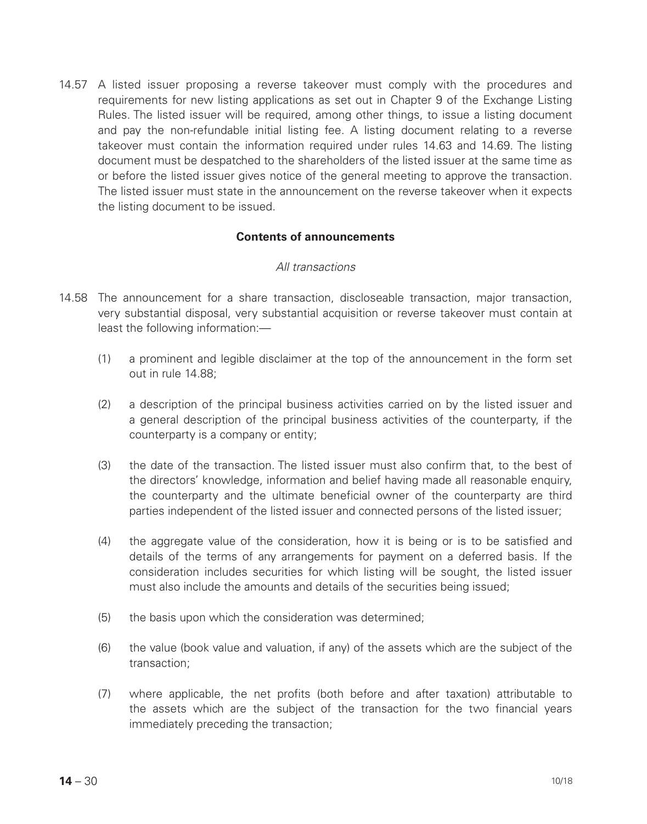14.57 A listed issuer proposing a reverse takeover must comply with the procedures and requirements for new listing applications as set out in Chapter 9 of the Exchange Listing Rules. The listed issuer will be required, among other things, to issue a listing document and pay the non-refundable initial listing fee. A listing document relating to a reverse takeover must contain the information required under rules 14.63 and 14.69. The listing document must be despatched to the shareholders of the listed issuer at the same time as or before the listed issuer gives notice of the general meeting to approve the transaction. The listed issuer must state in the announcement on the reverse takeover when it expects the listing document to be issued.

## **Contents of announcements**

#### *All transactions*

- 14.58 The announcement for a share transaction, discloseable transaction, major transaction, very substantial disposal, very substantial acquisition or reverse takeover must contain at least the following information:—
	- (1) a prominent and legible disclaimer at the top of the announcement in the form set out in rule 14.88;
	- (2) a description of the principal business activities carried on by the listed issuer and a general description of the principal business activities of the counterparty, if the counterparty is a company or entity;
	- (3) the date of the transaction. The listed issuer must also confirm that, to the best of the directors' knowledge, information and belief having made all reasonable enquiry, the counterparty and the ultimate beneficial owner of the counterparty are third parties independent of the listed issuer and connected persons of the listed issuer;
	- (4) the aggregate value of the consideration, how it is being or is to be satisfied and details of the terms of any arrangements for payment on a deferred basis. If the consideration includes securities for which listing will be sought, the listed issuer must also include the amounts and details of the securities being issued;
	- (5) the basis upon which the consideration was determined;
	- (6) the value (book value and valuation, if any) of the assets which are the subject of the transaction;
	- (7) where applicable, the net profits (both before and after taxation) attributable to the assets which are the subject of the transaction for the two financial years immediately preceding the transaction;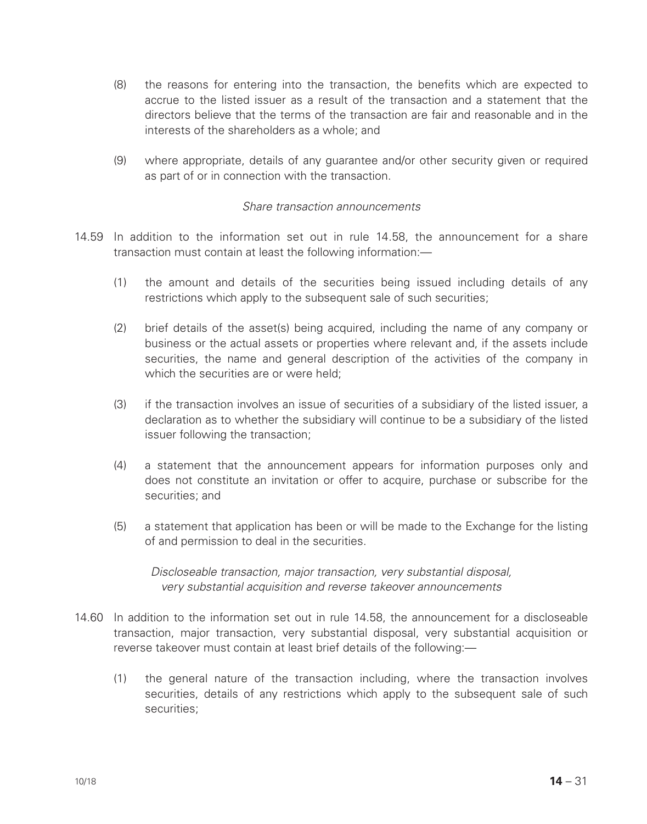- (8) the reasons for entering into the transaction, the benefits which are expected to accrue to the listed issuer as a result of the transaction and a statement that the directors believe that the terms of the transaction are fair and reasonable and in the interests of the shareholders as a whole; and
- (9) where appropriate, details of any guarantee and/or other security given or required as part of or in connection with the transaction.

#### *Share transaction announcements*

- 14.59 In addition to the information set out in rule 14.58, the announcement for a share transaction must contain at least the following information:—
	- (1) the amount and details of the securities being issued including details of any restrictions which apply to the subsequent sale of such securities;
	- (2) brief details of the asset(s) being acquired, including the name of any company or business or the actual assets or properties where relevant and, if the assets include securities, the name and general description of the activities of the company in which the securities are or were held:
	- (3) if the transaction involves an issue of securities of a subsidiary of the listed issuer, a declaration as to whether the subsidiary will continue to be a subsidiary of the listed issuer following the transaction;
	- (4) a statement that the announcement appears for information purposes only and does not constitute an invitation or offer to acquire, purchase or subscribe for the securities; and
	- (5) a statement that application has been or will be made to the Exchange for the listing of and permission to deal in the securities.

*Discloseable transaction, major transaction, very substantial disposal, very substantial acquisition and reverse takeover announcements*

- 14.60 In addition to the information set out in rule 14.58, the announcement for a discloseable transaction, major transaction, very substantial disposal, very substantial acquisition or reverse takeover must contain at least brief details of the following:—
	- (1) the general nature of the transaction including, where the transaction involves securities, details of any restrictions which apply to the subsequent sale of such securities;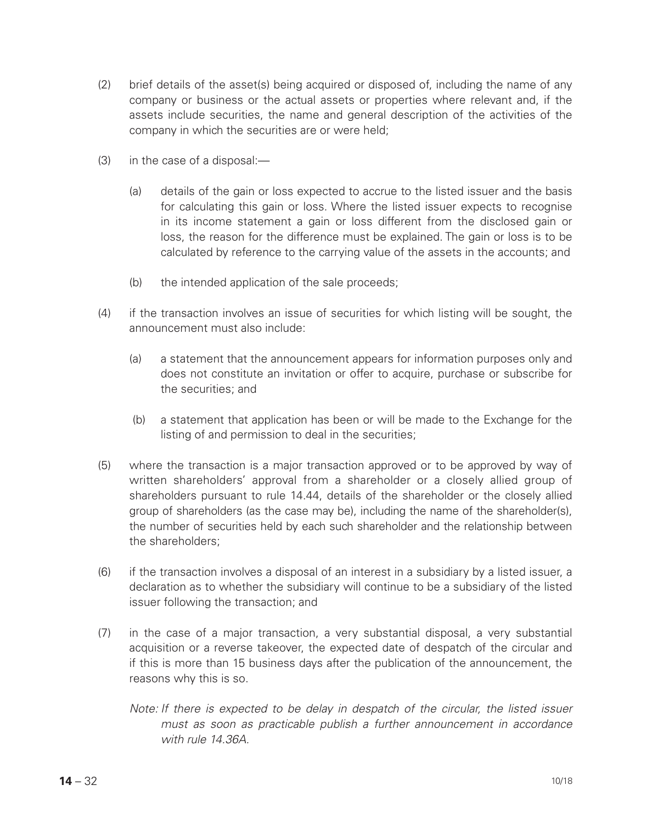- (2) brief details of the asset(s) being acquired or disposed of, including the name of any company or business or the actual assets or properties where relevant and, if the assets include securities, the name and general description of the activities of the company in which the securities are or were held;
- (3) in the case of a disposal:—
	- (a) details of the gain or loss expected to accrue to the listed issuer and the basis for calculating this gain or loss. Where the listed issuer expects to recognise in its income statement a gain or loss different from the disclosed gain or loss, the reason for the difference must be explained. The gain or loss is to be calculated by reference to the carrying value of the assets in the accounts; and
	- (b) the intended application of the sale proceeds;
- (4) if the transaction involves an issue of securities for which listing will be sought, the announcement must also include:
	- (a) a statement that the announcement appears for information purposes only and does not constitute an invitation or offer to acquire, purchase or subscribe for the securities; and
	- (b) a statement that application has been or will be made to the Exchange for the listing of and permission to deal in the securities;
- (5) where the transaction is a major transaction approved or to be approved by way of written shareholders' approval from a shareholder or a closely allied group of shareholders pursuant to rule 14.44, details of the shareholder or the closely allied group of shareholders (as the case may be), including the name of the shareholder(s), the number of securities held by each such shareholder and the relationship between the shareholders;
- (6) if the transaction involves a disposal of an interest in a subsidiary by a listed issuer, a declaration as to whether the subsidiary will continue to be a subsidiary of the listed issuer following the transaction; and
- (7) in the case of a major transaction, a very substantial disposal, a very substantial acquisition or a reverse takeover, the expected date of despatch of the circular and if this is more than 15 business days after the publication of the announcement, the reasons why this is so.
	- *Note: If there is expected to be delay in despatch of the circular, the listed issuer must as soon as practicable publish a further announcement in accordance with rule 14.36A.*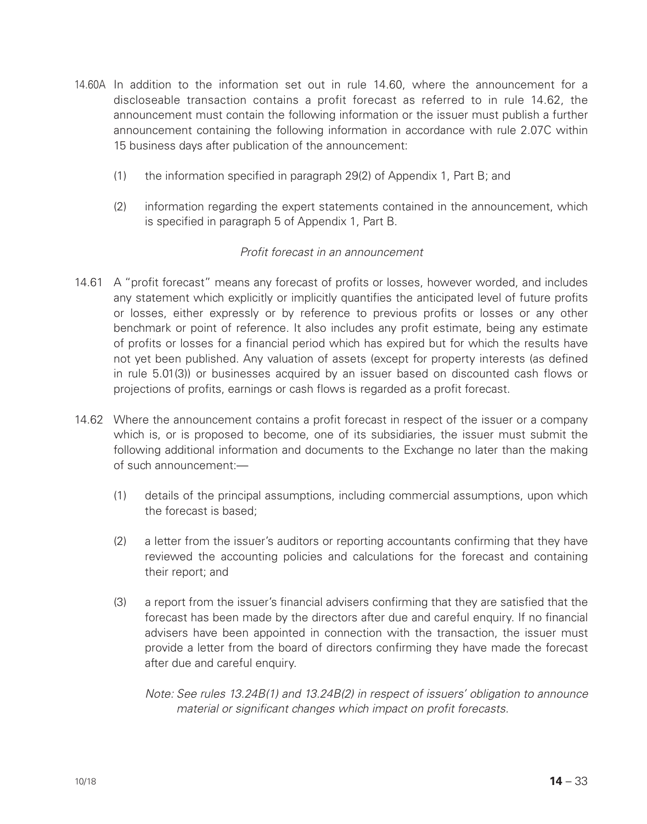- 14.60A In addition to the information set out in rule 14.60, where the announcement for a discloseable transaction contains a profit forecast as referred to in rule 14.62, the announcement must contain the following information or the issuer must publish a further announcement containing the following information in accordance with rule 2.07C within 15 business days after publication of the announcement:
	- (1) the information specified in paragraph 29(2) of Appendix 1, Part B; and
	- (2) information regarding the expert statements contained in the announcement, which is specified in paragraph 5 of Appendix 1, Part B.

## *Profit forecast in an announcement*

- 14.61 A "profit forecast" means any forecast of profits or losses, however worded, and includes any statement which explicitly or implicitly quantifies the anticipated level of future profits or losses, either expressly or by reference to previous profits or losses or any other benchmark or point of reference. It also includes any profit estimate, being any estimate of profits or losses for a financial period which has expired but for which the results have not yet been published. Any valuation of assets (except for property interests (as defined in rule 5.01(3)) or businesses acquired by an issuer based on discounted cash flows or projections of profits, earnings or cash flows is regarded as a profit forecast.
- 14.62 Where the announcement contains a profit forecast in respect of the issuer or a company which is, or is proposed to become, one of its subsidiaries, the issuer must submit the following additional information and documents to the Exchange no later than the making of such announcement:—
	- (1) details of the principal assumptions, including commercial assumptions, upon which the forecast is based;
	- (2) a letter from the issuer's auditors or reporting accountants confirming that they have reviewed the accounting policies and calculations for the forecast and containing their report; and
	- (3) a report from the issuer's financial advisers confirming that they are satisfied that the forecast has been made by the directors after due and careful enquiry. If no financial advisers have been appointed in connection with the transaction, the issuer must provide a letter from the board of directors confirming they have made the forecast after due and careful enquiry.

*Note: See rules 13.24B(1) and 13.24B(2) in respect of issuers' obligation to announce material or significant changes which impact on profit forecasts.*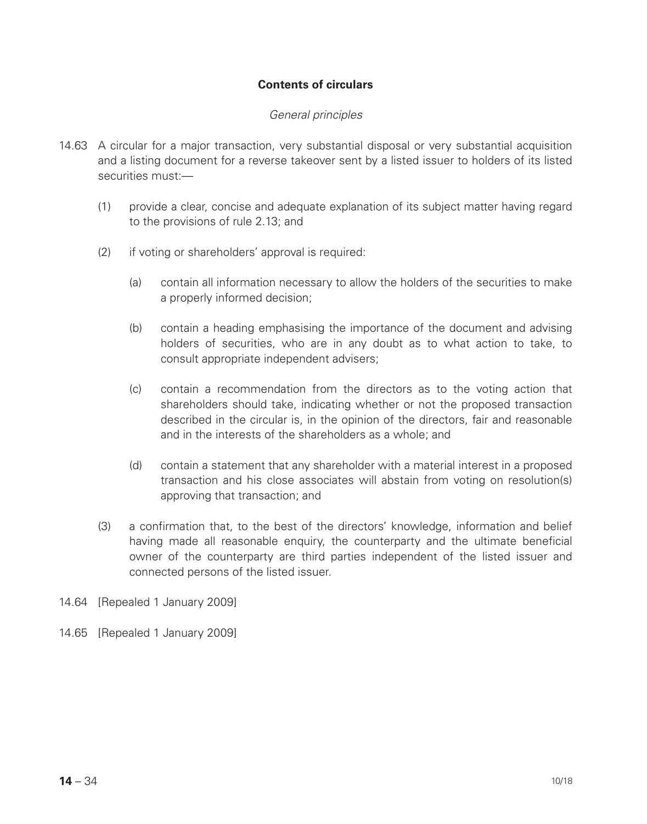## **Contents of circulars**

#### *General principles*

- 14.63 A circular for a major transaction, very substantial disposal or very substantial acquisition and a listing document for a reverse takeover sent by a listed issuer to holders of its listed securities must:—
	- (1) provide a clear, concise and adequate explanation of its subject matter having regard to the provisions of rule 2.13; and
	- (2) if voting or shareholders' approval is required:
		- (a) contain all information necessary to allow the holders of the securities to make a properly informed decision;
		- (b) contain a heading emphasising the importance of the document and advising holders of securities, who are in any doubt as to what action to take, to consult appropriate independent advisers;
		- (c) contain a recommendation from the directors as to the voting action that shareholders should take, indicating whether or not the proposed transaction described in the circular is, in the opinion of the directors, fair and reasonable and in the interests of the shareholders as a whole; and
		- (d) contain a statement that any shareholder with a material interest in a proposed transaction and his close associates will abstain from voting on resolution(s) approving that transaction; and
	- (3) a confirmation that, to the best of the directors' knowledge, information and belief having made all reasonable enquiry, the counterparty and the ultimate beneficial owner of the counterparty are third parties independent of the listed issuer and connected persons of the listed issuer.
- 14.64 [Repealed 1 January 2009]
- 14.65 [Repealed 1 January 2009]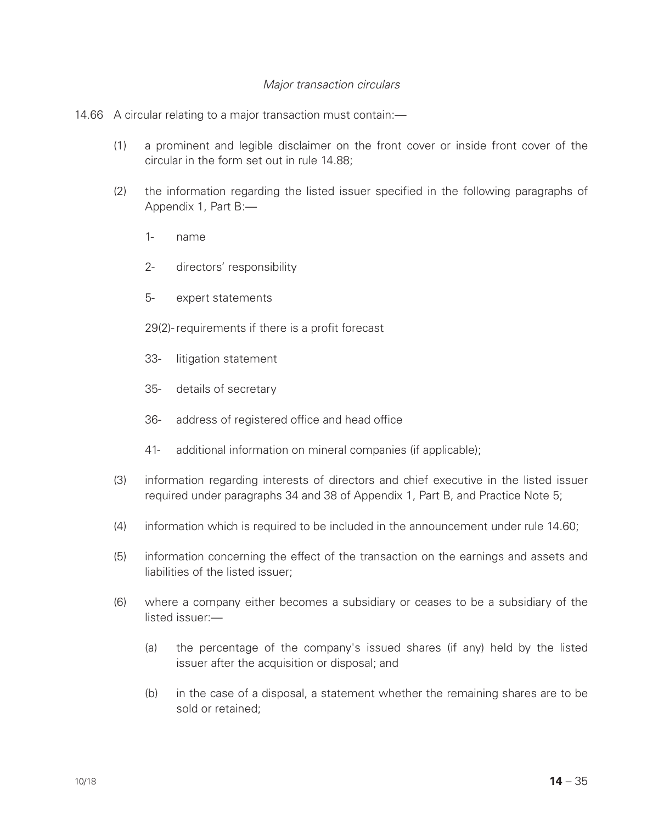## *Major transaction circulars*

#### 14.66 A circular relating to a major transaction must contain:—

- (1) a prominent and legible disclaimer on the front cover or inside front cover of the circular in the form set out in rule 14.88;
- (2) the information regarding the listed issuer specified in the following paragraphs of Appendix 1, Part B:—
	- 1- name
	- 2- directors' responsibility
	- 5- expert statements
	- 29(2)- requirements if there is a profit forecast
	- 33- litigation statement
	- 35- details of secretary
	- 36- address of registered office and head office
	- 41- additional information on mineral companies (if applicable);
- (3) information regarding interests of directors and chief executive in the listed issuer required under paragraphs 34 and 38 of Appendix 1, Part B, and Practice Note 5;
- (4) information which is required to be included in the announcement under rule 14.60;
- (5) information concerning the effect of the transaction on the earnings and assets and liabilities of the listed issuer;
- (6) where a company either becomes a subsidiary or ceases to be a subsidiary of the listed issuer:—
	- (a) the percentage of the company's issued shares (if any) held by the listed issuer after the acquisition or disposal; and
	- (b) in the case of a disposal, a statement whether the remaining shares are to be sold or retained;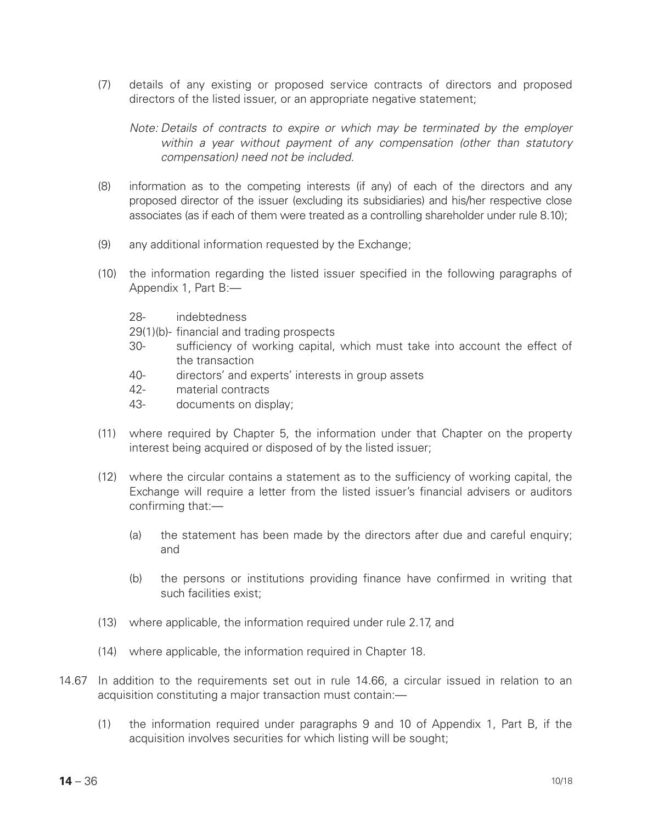(7) details of any existing or proposed service contracts of directors and proposed directors of the listed issuer, or an appropriate negative statement;

*Note: Details of contracts to expire or which may be terminated by the employer within a year without payment of any compensation (other than statutory compensation) need not be included.*

- (8) information as to the competing interests (if any) of each of the directors and any proposed director of the issuer (excluding its subsidiaries) and his/her respective close associates (as if each of them were treated as a controlling shareholder under rule  $8.10$ );
- (9) any additional information requested by the Exchange;
- (10) the information regarding the listed issuer specified in the following paragraphs of Appendix 1, Part B:—
	- 28- indebtedness
	- 29(1)(b)- financial and trading prospects
	- 30- sufficiency of working capital, which must take into account the effect of the transaction
	- 40- directors' and experts' interests in group assets
	- 42- material contracts
	- 43- documents on display;
- (11) where required by Chapter 5, the information under that Chapter on the property interest being acquired or disposed of by the listed issuer;
- (12) where the circular contains a statement as to the sufficiency of working capital, the Exchange will require a letter from the listed issuer's financial advisers or auditors confirming that:—
	- (a) the statement has been made by the directors after due and careful enquiry; and
	- (b) the persons or institutions providing finance have confirmed in writing that such facilities exist;
- (13) where applicable, the information required under rule 2.17, and
- (14) where applicable, the information required in Chapter 18.
- 14.67 In addition to the requirements set out in rule 14.66, a circular issued in relation to an acquisition constituting a major transaction must contain:—
	- (1) the information required under paragraphs 9 and 10 of Appendix 1, Part B, if the acquisition involves securities for which listing will be sought;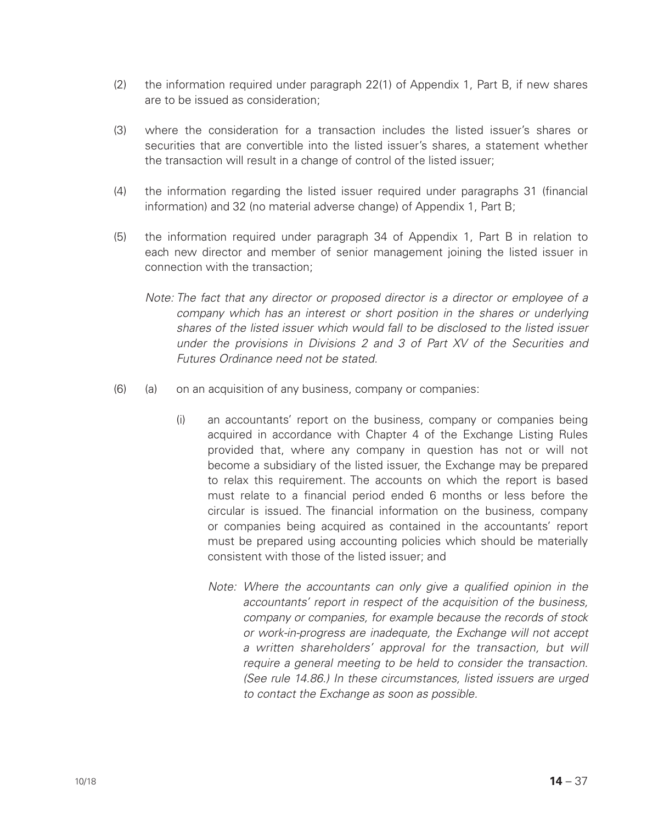- (2) the information required under paragraph 22(1) of Appendix 1, Part B, if new shares are to be issued as consideration;
- (3) where the consideration for a transaction includes the listed issuer's shares or securities that are convertible into the listed issuer's shares, a statement whether the transaction will result in a change of control of the listed issuer;
- (4) the information regarding the listed issuer required under paragraphs 31 (financial information) and 32 (no material adverse change) of Appendix 1, Part B;
- (5) the information required under paragraph 34 of Appendix 1, Part B in relation to each new director and member of senior management joining the listed issuer in connection with the transaction;
	- *Note: The fact that any director or proposed director is a director or employee of a company which has an interest or short position in the shares or underlying shares of the listed issuer which would fall to be disclosed to the listed issuer under the provisions in Divisions 2 and 3 of Part XV of the Securities and Futures Ordinance need not be stated.*
- (6) (a) on an acquisition of any business, company or companies:
	- (i) an accountants' report on the business, company or companies being acquired in accordance with Chapter 4 of the Exchange Listing Rules provided that, where any company in question has not or will not become a subsidiary of the listed issuer, the Exchange may be prepared to relax this requirement. The accounts on which the report is based must relate to a financial period ended 6 months or less before the circular is issued. The financial information on the business, company or companies being acquired as contained in the accountants' report must be prepared using accounting policies which should be materially consistent with those of the listed issuer; and
		- *Note: Where the accountants can only give a qualified opinion in the accountants' report in respect of the acquisition of the business, company or companies, for example because the records of stock or work-in-progress are inadequate, the Exchange will not accept*  a written shareholders' approval for the transaction, but will *require a general meeting to be held to consider the transaction. (See rule 14.86.) In these circumstances, listed issuers are urged to contact the Exchange as soon as possible.*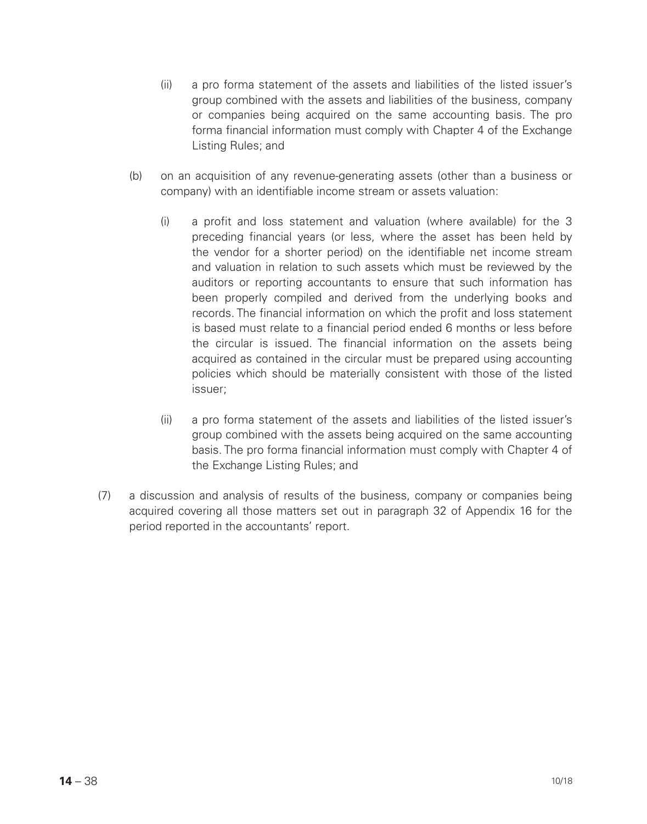- (ii) a pro forma statement of the assets and liabilities of the listed issuer's group combined with the assets and liabilities of the business, company or companies being acquired on the same accounting basis. The pro forma financial information must comply with Chapter 4 of the Exchange Listing Rules; and
- (b) on an acquisition of any revenue-generating assets (other than a business or company) with an identifiable income stream or assets valuation:
	- (i) a profit and loss statement and valuation (where available) for the 3 preceding financial years (or less, where the asset has been held by the vendor for a shorter period) on the identifiable net income stream and valuation in relation to such assets which must be reviewed by the auditors or reporting accountants to ensure that such information has been properly compiled and derived from the underlying books and records. The financial information on which the profit and loss statement is based must relate to a financial period ended 6 months or less before the circular is issued. The financial information on the assets being acquired as contained in the circular must be prepared using accounting policies which should be materially consistent with those of the listed issuer;
	- (ii) a pro forma statement of the assets and liabilities of the listed issuer's group combined with the assets being acquired on the same accounting basis. The pro forma financial information must comply with Chapter 4 of the Exchange Listing Rules; and
- (7) a discussion and analysis of results of the business, company or companies being acquired covering all those matters set out in paragraph 32 of Appendix 16 for the period reported in the accountants' report.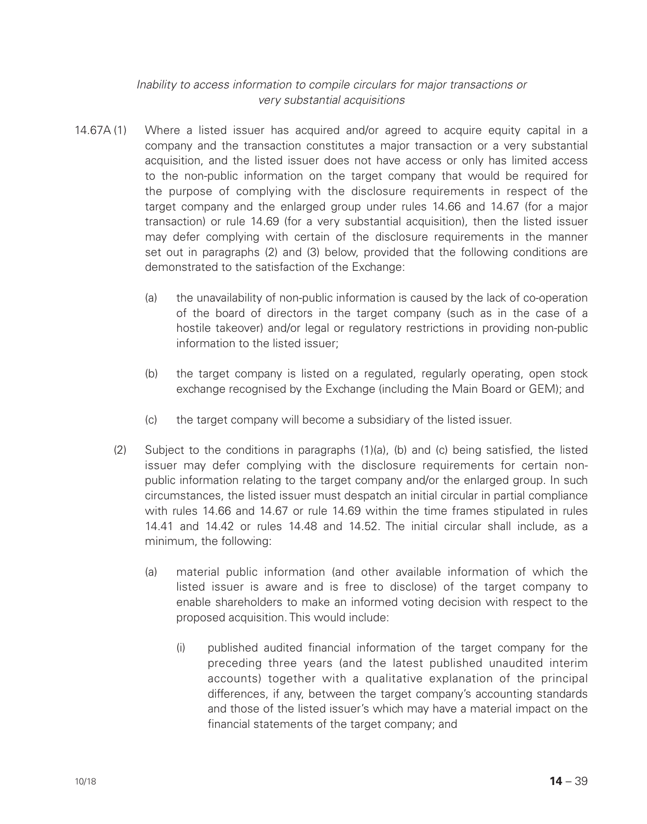## *Inability to access information to compile circulars for major transactions or very substantial acquisitions*

- 14.67A (1) Where a listed issuer has acquired and/or agreed to acquire equity capital in a company and the transaction constitutes a major transaction or a very substantial acquisition, and the listed issuer does not have access or only has limited access to the non-public information on the target company that would be required for the purpose of complying with the disclosure requirements in respect of the target company and the enlarged group under rules 14.66 and 14.67 (for a major transaction) or rule 14.69 (for a very substantial acquisition), then the listed issuer may defer complying with certain of the disclosure requirements in the manner set out in paragraphs (2) and (3) below, provided that the following conditions are demonstrated to the satisfaction of the Exchange:
	- (a) the unavailability of non-public information is caused by the lack of co-operation of the board of directors in the target company (such as in the case of a hostile takeover) and/or legal or regulatory restrictions in providing non-public information to the listed issuer;
	- (b) the target company is listed on a regulated, regularly operating, open stock exchange recognised by the Exchange (including the Main Board or GEM); and
	- (c) the target company will become a subsidiary of the listed issuer.
	- (2) Subject to the conditions in paragraphs (1)(a), (b) and (c) being satisfied, the listed issuer may defer complying with the disclosure requirements for certain nonpublic information relating to the target company and/or the enlarged group. In such circumstances, the listed issuer must despatch an initial circular in partial compliance with rules 14.66 and 14.67 or rule 14.69 within the time frames stipulated in rules 14.41 and 14.42 or rules 14.48 and 14.52. The initial circular shall include, as a minimum, the following:
		- (a) material public information (and other available information of which the listed issuer is aware and is free to disclose) of the target company to enable shareholders to make an informed voting decision with respect to the proposed acquisition. This would include:
			- (i) published audited financial information of the target company for the preceding three years (and the latest published unaudited interim accounts) together with a qualitative explanation of the principal differences, if any, between the target company's accounting standards and those of the listed issuer's which may have a material impact on the financial statements of the target company; and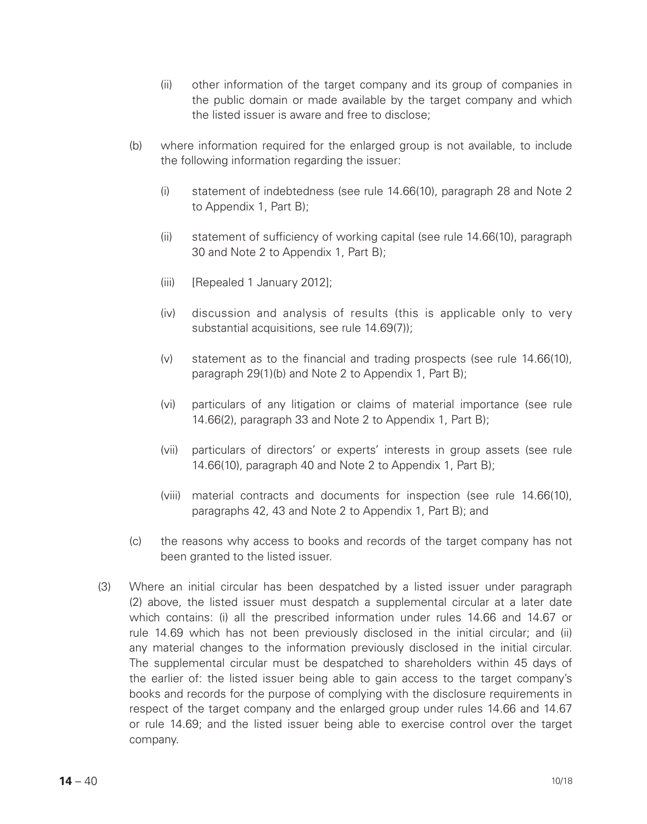- (ii) other information of the target company and its group of companies in the public domain or made available by the target company and which the listed issuer is aware and free to disclose;
- (b) where information required for the enlarged group is not available, to include the following information regarding the issuer:
	- (i) statement of indebtedness (see rule 14.66(10), paragraph 28 and Note 2 to Appendix 1, Part B);
	- (ii) statement of sufficiency of working capital (see rule 14.66(10), paragraph 30 and Note 2 to Appendix 1, Part B);
	- (iii) [Repealed 1 January 2012];
	- (iv) discussion and analysis of results (this is applicable only to very substantial acquisitions, see rule 14.69(7));
	- (v) statement as to the financial and trading prospects (see rule 14.66(10), paragraph 29(1)(b) and Note 2 to Appendix 1, Part B);
	- (vi) particulars of any litigation or claims of material importance (see rule 14.66(2), paragraph 33 and Note 2 to Appendix 1, Part B);
	- (vii) particulars of directors' or experts' interests in group assets (see rule 14.66(10), paragraph 40 and Note 2 to Appendix 1, Part B);
	- (viii) material contracts and documents for inspection (see rule 14.66(10), paragraphs 42, 43 and Note 2 to Appendix 1, Part B); and
- (c) the reasons why access to books and records of the target company has not been granted to the listed issuer.
- (3) Where an initial circular has been despatched by a listed issuer under paragraph (2) above, the listed issuer must despatch a supplemental circular at a later date which contains: (i) all the prescribed information under rules 14.66 and 14.67 or rule 14.69 which has not been previously disclosed in the initial circular; and (ii) any material changes to the information previously disclosed in the initial circular. The supplemental circular must be despatched to shareholders within 45 days of the earlier of: the listed issuer being able to gain access to the target company's books and records for the purpose of complying with the disclosure requirements in respect of the target company and the enlarged group under rules 14.66 and 14.67 or rule 14.69; and the listed issuer being able to exercise control over the target company.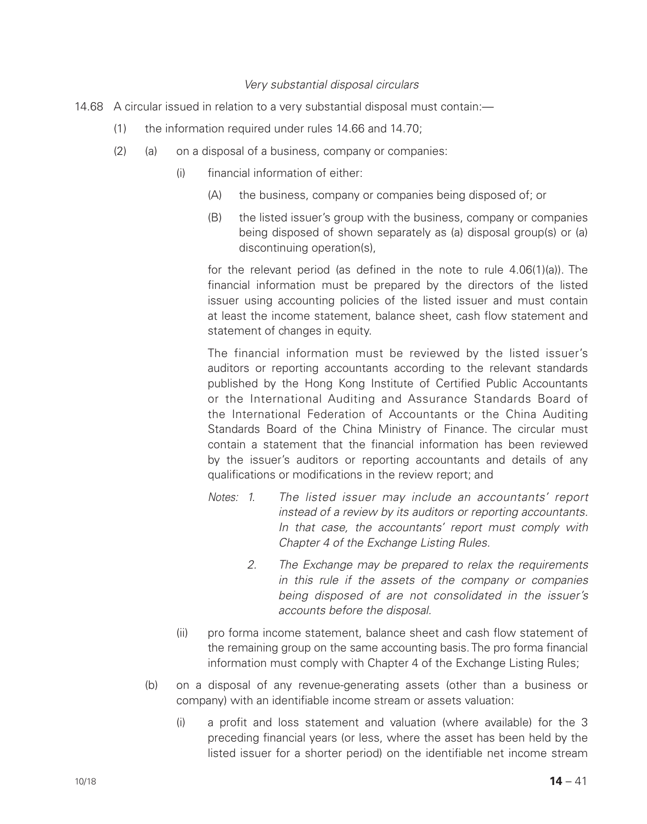#### *Very substantial disposal circulars*

- 14.68 A circular issued in relation to a very substantial disposal must contain:—
	- (1) the information required under rules 14.66 and 14.70;
	- (2) (a) on a disposal of a business, company or companies:
		- (i) financial information of either:
			- (A) the business, company or companies being disposed of; or
			- (B) the listed issuer's group with the business, company or companies being disposed of shown separately as (a) disposal group(s) or (a) discontinuing operation(s),

for the relevant period (as defined in the note to rule 4.06(1)(a)). The financial information must be prepared by the directors of the listed issuer using accounting policies of the listed issuer and must contain at least the income statement, balance sheet, cash flow statement and statement of changes in equity.

The financial information must be reviewed by the listed issuer's auditors or reporting accountants according to the relevant standards published by the Hong Kong Institute of Certified Public Accountants or the International Auditing and Assurance Standards Board of the International Federation of Accountants or the China Auditing Standards Board of the China Ministry of Finance. The circular must contain a statement that the financial information has been reviewed by the issuer's auditors or reporting accountants and details of any qualifications or modifications in the review report; and

- *Notes: 1. The listed issuer may include an accountants' report instead of a review by its auditors or reporting accountants. In that case, the accountants' report must comply with Chapter 4 of the Exchange Listing Rules.*
	- *2. The Exchange may be prepared to relax the requirements in this rule if the assets of the company or companies being disposed of are not consolidated in the issuer's accounts before the disposal.*
- (ii) pro forma income statement, balance sheet and cash flow statement of the remaining group on the same accounting basis. The pro forma financial information must comply with Chapter 4 of the Exchange Listing Rules;
- (b) on a disposal of any revenue-generating assets (other than a business or company) with an identifiable income stream or assets valuation:
	- (i) a profit and loss statement and valuation (where available) for the 3 preceding financial years (or less, where the asset has been held by the listed issuer for a shorter period) on the identifiable net income stream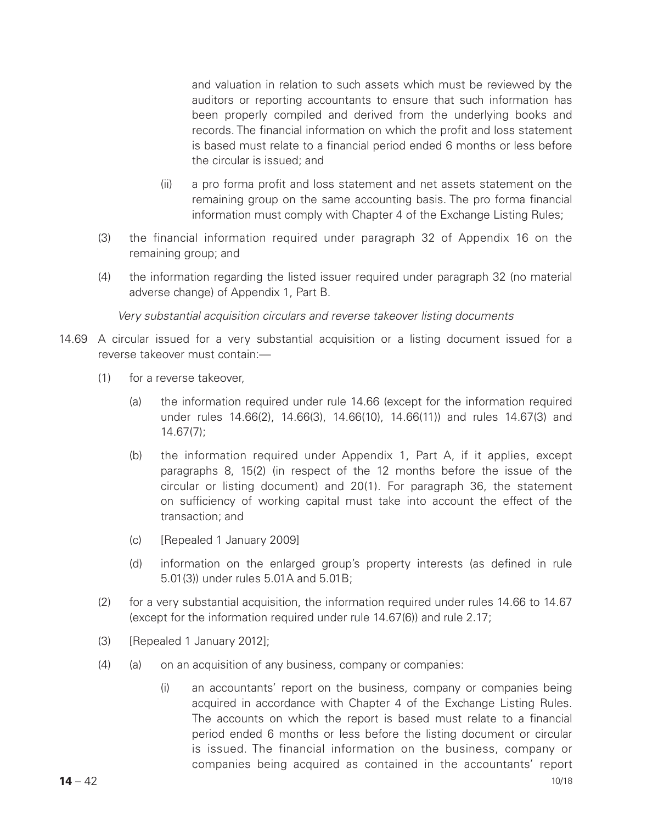and valuation in relation to such assets which must be reviewed by the auditors or reporting accountants to ensure that such information has been properly compiled and derived from the underlying books and records. The financial information on which the profit and loss statement is based must relate to a financial period ended 6 months or less before the circular is issued; and

- (ii) a pro forma profit and loss statement and net assets statement on the remaining group on the same accounting basis. The pro forma financial information must comply with Chapter 4 of the Exchange Listing Rules;
- (3) the financial information required under paragraph 32 of Appendix 16 on the remaining group; and
- (4) the information regarding the listed issuer required under paragraph 32 (no material adverse change) of Appendix 1, Part B.

*Very substantial acquisition circulars and reverse takeover listing documents*

- 14.69 A circular issued for a very substantial acquisition or a listing document issued for a reverse takeover must contain:—
	- (1) for a reverse takeover,
		- (a) the information required under rule 14.66 (except for the information required under rules 14.66(2), 14.66(3), 14.66(10), 14.66(11)) and rules 14.67(3) and 14.67(7);
		- (b) the information required under Appendix 1, Part A, if it applies, except paragraphs 8, 15(2) (in respect of the 12 months before the issue of the circular or listing document) and 20(1). For paragraph 36, the statement on sufficiency of working capital must take into account the effect of the transaction; and
		- (c) [Repealed 1 January 2009]
		- (d) information on the enlarged group's property interests (as defined in rule 5.01(3)) under rules 5.01A and 5.01B;
	- (2) for a very substantial acquisition, the information required under rules 14.66 to 14.67 (except for the information required under rule 14.67(6)) and rule 2.17;
	- (3) [Repealed 1 January 2012];
	- (4) (a) on an acquisition of any business, company or companies:
		- (i) an accountants' report on the business, company or companies being acquired in accordance with Chapter 4 of the Exchange Listing Rules. The accounts on which the report is based must relate to a financial period ended 6 months or less before the listing document or circular is issued. The financial information on the business, company or companies being acquired as contained in the accountants' report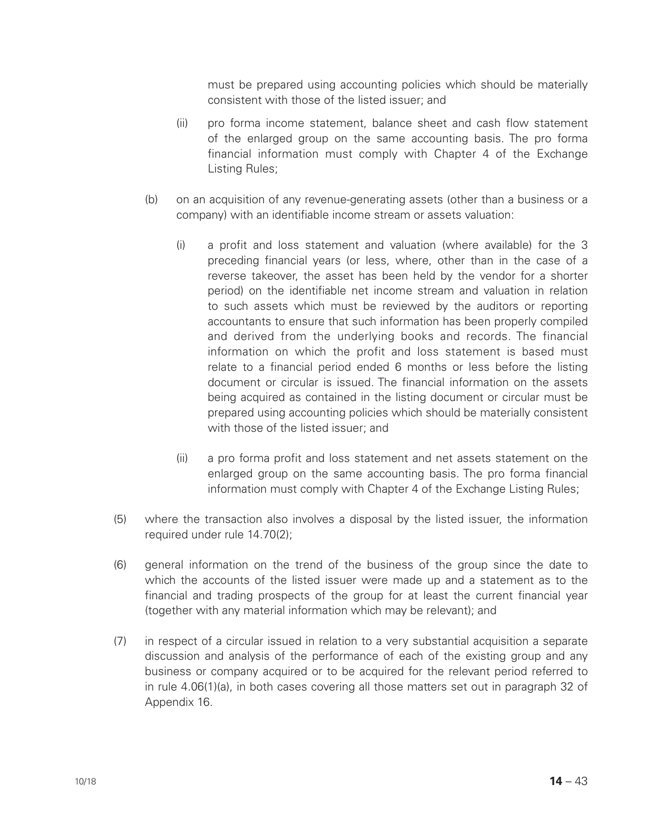must be prepared using accounting policies which should be materially consistent with those of the listed issuer; and

- (ii) pro forma income statement, balance sheet and cash flow statement of the enlarged group on the same accounting basis. The pro forma financial information must comply with Chapter 4 of the Exchange Listing Rules;
- (b) on an acquisition of any revenue-generating assets (other than a business or a company) with an identifiable income stream or assets valuation:
	- (i) a profit and loss statement and valuation (where available) for the 3 preceding financial years (or less, where, other than in the case of a reverse takeover, the asset has been held by the vendor for a shorter period) on the identifiable net income stream and valuation in relation to such assets which must be reviewed by the auditors or reporting accountants to ensure that such information has been properly compiled and derived from the underlying books and records. The financial information on which the profit and loss statement is based must relate to a financial period ended 6 months or less before the listing document or circular is issued. The financial information on the assets being acquired as contained in the listing document or circular must be prepared using accounting policies which should be materially consistent with those of the listed issuer; and
	- (ii) a pro forma profit and loss statement and net assets statement on the enlarged group on the same accounting basis. The pro forma financial information must comply with Chapter 4 of the Exchange Listing Rules;
- (5) where the transaction also involves a disposal by the listed issuer, the information required under rule 14.70(2);
- (6) general information on the trend of the business of the group since the date to which the accounts of the listed issuer were made up and a statement as to the financial and trading prospects of the group for at least the current financial year (together with any material information which may be relevant); and
- (7) in respect of a circular issued in relation to a very substantial acquisition a separate discussion and analysis of the performance of each of the existing group and any business or company acquired or to be acquired for the relevant period referred to in rule 4.06(1)(a), in both cases covering all those matters set out in paragraph 32 of Appendix 16.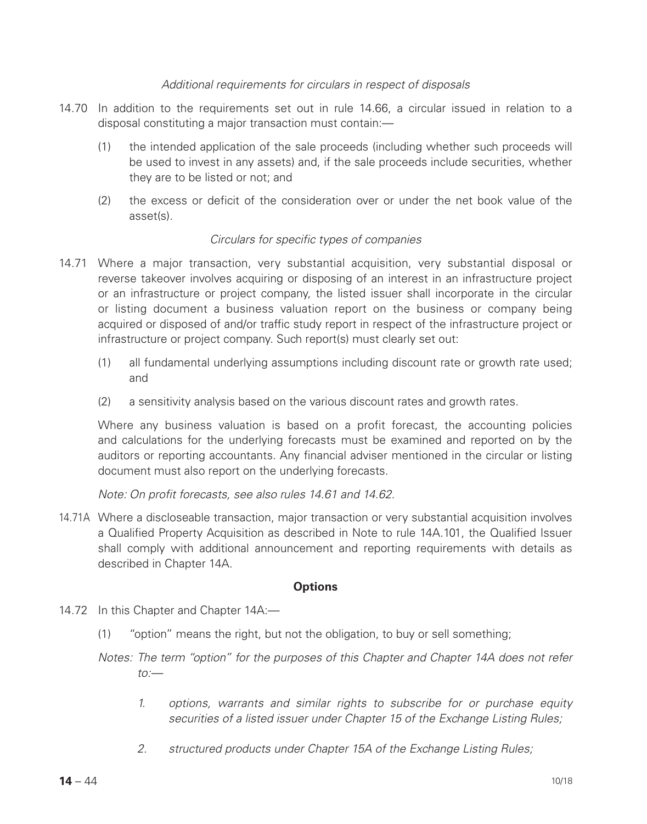## *Additional requirements for circulars in respect of disposals*

- 14.70 In addition to the requirements set out in rule 14.66, a circular issued in relation to a disposal constituting a major transaction must contain:—
	- (1) the intended application of the sale proceeds (including whether such proceeds will be used to invest in any assets) and, if the sale proceeds include securities, whether they are to be listed or not; and
	- (2) the excess or deficit of the consideration over or under the net book value of the asset(s).

## *Circulars for specific types of companies*

- 14.71 Where a major transaction, very substantial acquisition, very substantial disposal or reverse takeover involves acquiring or disposing of an interest in an infrastructure project or an infrastructure or project company, the listed issuer shall incorporate in the circular or listing document a business valuation report on the business or company being acquired or disposed of and/or traffic study report in respect of the infrastructure project or infrastructure or project company. Such report(s) must clearly set out:
	- (1) all fundamental underlying assumptions including discount rate or growth rate used; and
	- (2) a sensitivity analysis based on the various discount rates and growth rates.

Where any business valuation is based on a profit forecast, the accounting policies and calculations for the underlying forecasts must be examined and reported on by the auditors or reporting accountants. Any financial adviser mentioned in the circular or listing document must also report on the underlying forecasts.

*Note: On profit forecasts, see also rules 14.61 and 14.62.*

14.71A Where a discloseable transaction, major transaction or very substantial acquisition involves a Qualified Property Acquisition as described in Note to rule 14A.101, the Qualified Issuer shall comply with additional announcement and reporting requirements with details as described in Chapter 14A.

#### **Options**

- 14.72 In this Chapter and Chapter 14A:—
	- (1) "option" means the right, but not the obligation, to buy or sell something;
	- *Notes: The term "option" for the purposes of this Chapter and Chapter 14A does not refer to:—*
		- *1. options, warrants and similar rights to subscribe for or purchase equity securities of a listed issuer under Chapter 15 of the Exchange Listing Rules;*
		- *2. structured products under Chapter 15A of the Exchange Listing Rules;*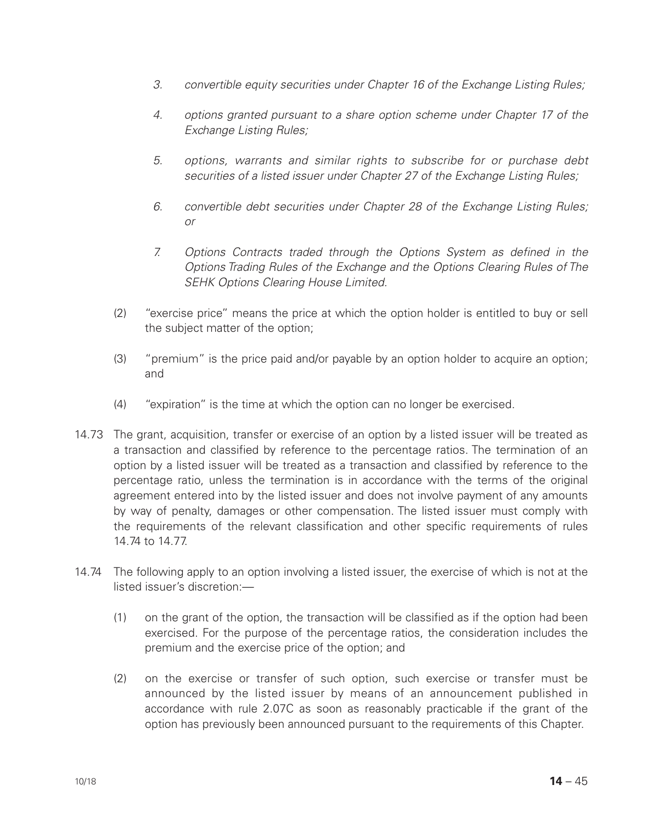- *3. convertible equity securities under Chapter 16 of the Exchange Listing Rules;*
- *4. options granted pursuant to a share option scheme under Chapter 17 of the Exchange Listing Rules;*
- *5. options, warrants and similar rights to subscribe for or purchase debt securities of a listed issuer under Chapter 27 of the Exchange Listing Rules;*
- *6. convertible debt securities under Chapter 28 of the Exchange Listing Rules; or*
- *7. Options Contracts traded through the Options System as defined in the Options Trading Rules of the Exchange and the Options Clearing Rules of The SEHK Options Clearing House Limited.*
- (2) "exercise price" means the price at which the option holder is entitled to buy or sell the subject matter of the option;
- (3) "premium" is the price paid and/or payable by an option holder to acquire an option; and
- (4) "expiration" is the time at which the option can no longer be exercised.
- 14.73 The grant, acquisition, transfer or exercise of an option by a listed issuer will be treated as a transaction and classified by reference to the percentage ratios. The termination of an option by a listed issuer will be treated as a transaction and classified by reference to the percentage ratio, unless the termination is in accordance with the terms of the original agreement entered into by the listed issuer and does not involve payment of any amounts by way of penalty, damages or other compensation. The listed issuer must comply with the requirements of the relevant classification and other specific requirements of rules 14.74 to 14.77.
- 14.74 The following apply to an option involving a listed issuer, the exercise of which is not at the listed issuer's discretion:—
	- (1) on the grant of the option, the transaction will be classified as if the option had been exercised. For the purpose of the percentage ratios, the consideration includes the premium and the exercise price of the option; and
	- (2) on the exercise or transfer of such option, such exercise or transfer must be announced by the listed issuer by means of an announcement published in accordance with rule 2.07C as soon as reasonably practicable if the grant of the option has previously been announced pursuant to the requirements of this Chapter.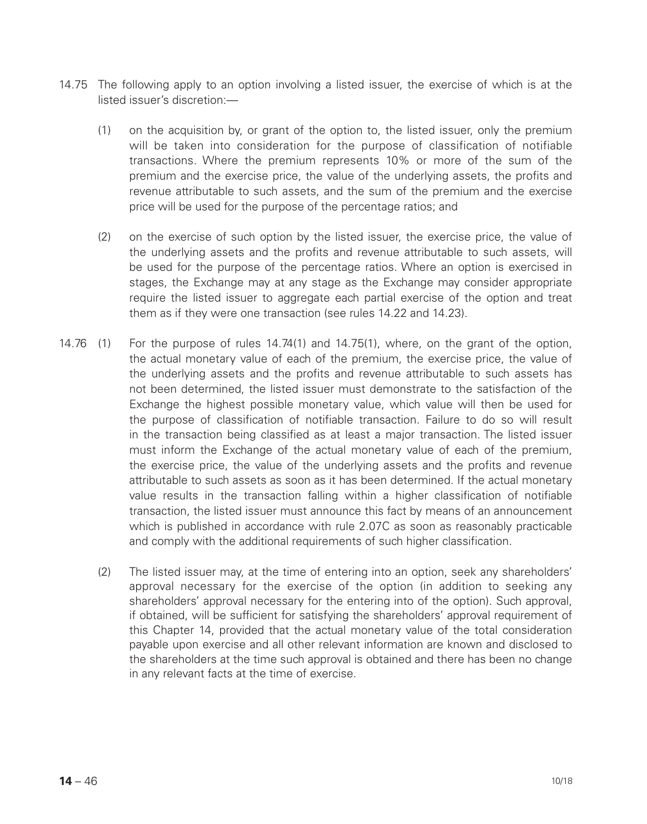- 14.75 The following apply to an option involving a listed issuer, the exercise of which is at the listed issuer's discretion:—
	- (1) on the acquisition by, or grant of the option to, the listed issuer, only the premium will be taken into consideration for the purpose of classification of notifiable transactions. Where the premium represents 10% or more of the sum of the premium and the exercise price, the value of the underlying assets, the profits and revenue attributable to such assets, and the sum of the premium and the exercise price will be used for the purpose of the percentage ratios; and
	- (2) on the exercise of such option by the listed issuer, the exercise price, the value of the underlying assets and the profits and revenue attributable to such assets, will be used for the purpose of the percentage ratios. Where an option is exercised in stages, the Exchange may at any stage as the Exchange may consider appropriate require the listed issuer to aggregate each partial exercise of the option and treat them as if they were one transaction (see rules 14.22 and 14.23).
- 14.76 (1) For the purpose of rules 14.74(1) and 14.75(1), where, on the grant of the option, the actual monetary value of each of the premium, the exercise price, the value of the underlying assets and the profits and revenue attributable to such assets has not been determined, the listed issuer must demonstrate to the satisfaction of the Exchange the highest possible monetary value, which value will then be used for the purpose of classification of notifiable transaction. Failure to do so will result in the transaction being classified as at least a major transaction. The listed issuer must inform the Exchange of the actual monetary value of each of the premium, the exercise price, the value of the underlying assets and the profits and revenue attributable to such assets as soon as it has been determined. If the actual monetary value results in the transaction falling within a higher classification of notifiable transaction, the listed issuer must announce this fact by means of an announcement which is published in accordance with rule 2.07C as soon as reasonably practicable and comply with the additional requirements of such higher classification.
	- (2) The listed issuer may, at the time of entering into an option, seek any shareholders' approval necessary for the exercise of the option (in addition to seeking any shareholders' approval necessary for the entering into of the option). Such approval, if obtained, will be sufficient for satisfying the shareholders' approval requirement of this Chapter 14, provided that the actual monetary value of the total consideration payable upon exercise and all other relevant information are known and disclosed to the shareholders at the time such approval is obtained and there has been no change in any relevant facts at the time of exercise.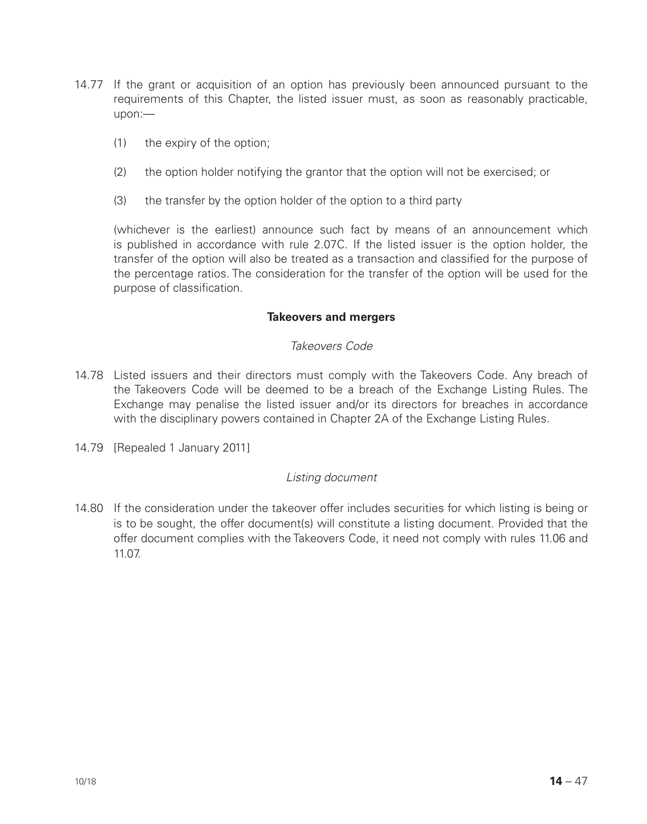- 14.77 If the grant or acquisition of an option has previously been announced pursuant to the requirements of this Chapter, the listed issuer must, as soon as reasonably practicable upon:—
	- (1) the expiry of the option;
	- (2) the option holder notifying the grantor that the option will not be exercised; or
	- (3) the transfer by the option holder of the option to a third party

(whichever is the earliest) announce such fact by means of an announcement which is published in accordance with rule 2.07C. If the listed issuer is the option holder, the transfer of the option will also be treated as a transaction and classified for the purpose of the percentage ratios. The consideration for the transfer of the option will be used for the purpose of classification.

#### **Takeovers and mergers**

## *Takeovers Code*

- 14.78 Listed issuers and their directors must comply with the Takeovers Code. Any breach of the Takeovers Code will be deemed to be a breach of the Exchange Listing Rules. The Exchange may penalise the listed issuer and/or its directors for breaches in accordance with the disciplinary powers contained in Chapter 2A of the Exchange Listing Rules.
- 14.79 [Repealed 1 January 2011]

## *Listing document*

14.80 If the consideration under the takeover offer includes securities for which listing is being or is to be sought, the offer document(s) will constitute a listing document. Provided that the offer document complies with the Takeovers Code, it need not comply with rules 11.06 and 11.07.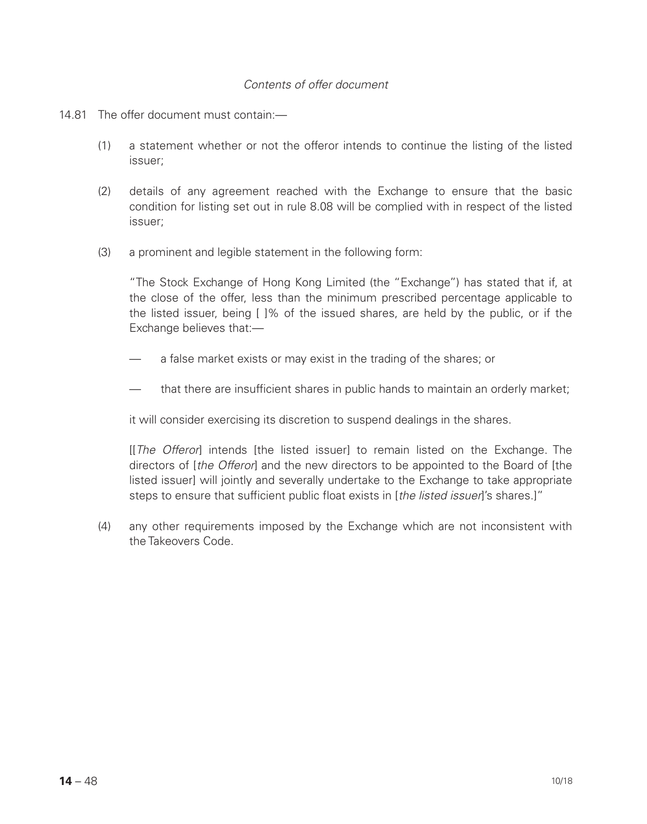## *Contents of offer document*

#### 14.81 The offer document must contain:—

- (1) a statement whether or not the offeror intends to continue the listing of the listed issuer;
- (2) details of any agreement reached with the Exchange to ensure that the basic condition for listing set out in rule 8.08 will be complied with in respect of the listed issuer;
- (3) a prominent and legible statement in the following form:

"The Stock Exchange of Hong Kong Limited (the "Exchange") has stated that if, at the close of the offer, less than the minimum prescribed percentage applicable to the listed issuer, being [ ]% of the issued shares, are held by the public, or if the Exchange believes that:—

- a false market exists or may exist in the trading of the shares; or
- that there are insufficient shares in public hands to maintain an orderly market;

it will consider exercising its discretion to suspend dealings in the shares.

[[*The Offeror*] intends [the listed issuer] to remain listed on the Exchange. The directors of [*the Offeror*] and the new directors to be appointed to the Board of [the listed issuer] will jointly and severally undertake to the Exchange to take appropriate steps to ensure that sufficient public float exists in [*the listed issuer*]'s shares.]"

(4) any other requirements imposed by the Exchange which are not inconsistent with the Takeovers Code.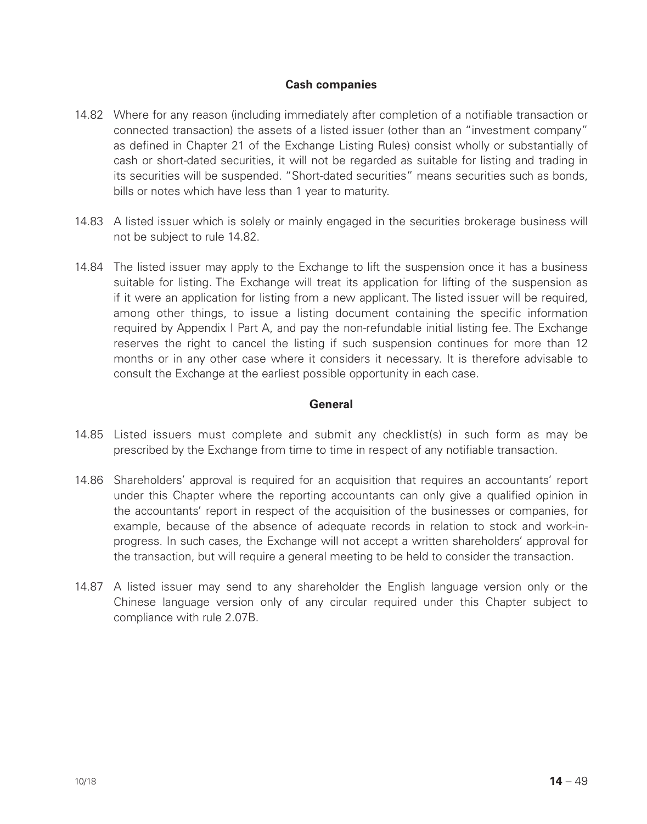## **Cash companies**

- 14.82 Where for any reason (including immediately after completion of a notifiable transaction or connected transaction) the assets of a listed issuer (other than an "investment company" as defined in Chapter 21 of the Exchange Listing Rules) consist wholly or substantially of cash or short-dated securities, it will not be regarded as suitable for listing and trading in its securities will be suspended. "Short-dated securities" means securities such as bonds, bills or notes which have less than 1 year to maturity.
- 14.83 A listed issuer which is solely or mainly engaged in the securities brokerage business will not be subject to rule 14.82.
- 14.84 The listed issuer may apply to the Exchange to lift the suspension once it has a business suitable for listing. The Exchange will treat its application for lifting of the suspension as if it were an application for listing from a new applicant. The listed issuer will be required, among other things, to issue a listing document containing the specific information required by Appendix I Part A, and pay the non-refundable initial listing fee. The Exchange reserves the right to cancel the listing if such suspension continues for more than 12 months or in any other case where it considers it necessary. It is therefore advisable to consult the Exchange at the earliest possible opportunity in each case.

## **General**

- 14.85 Listed issuers must complete and submit any checklist(s) in such form as may be prescribed by the Exchange from time to time in respect of any notifiable transaction.
- 14.86 Shareholders' approval is required for an acquisition that requires an accountants' report under this Chapter where the reporting accountants can only give a qualified opinion in the accountants' report in respect of the acquisition of the businesses or companies, for example, because of the absence of adequate records in relation to stock and work-inprogress. In such cases, the Exchange will not accept a written shareholders' approval for the transaction, but will require a general meeting to be held to consider the transaction.
- 14.87 A listed issuer may send to any shareholder the English language version only or the Chinese language version only of any circular required under this Chapter subject to compliance with rule 2.07B.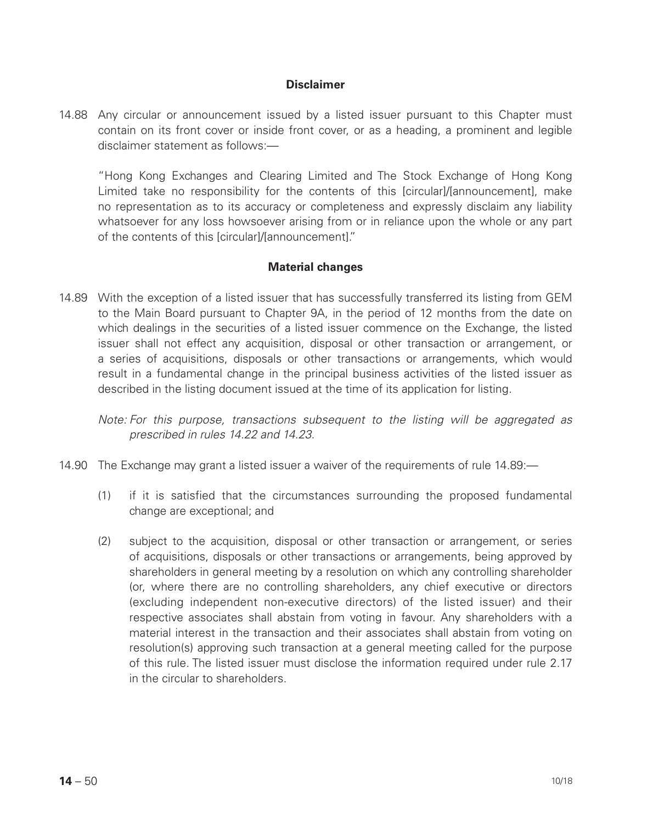#### **Disclaimer**

14.88 Any circular or announcement issued by a listed issuer pursuant to this Chapter must contain on its front cover or inside front cover, or as a heading, a prominent and legible disclaimer statement as follows:—

"Hong Kong Exchanges and Clearing Limited and The Stock Exchange of Hong Kong Limited take no responsibility for the contents of this [circular]/[announcement], make no representation as to its accuracy or completeness and expressly disclaim any liability whatsoever for any loss howsoever arising from or in reliance upon the whole or any part of the contents of this [circular]/[announcement]."

#### **Material changes**

14.89 With the exception of a listed issuer that has successfully transferred its listing from GEM to the Main Board pursuant to Chapter 9A, in the period of 12 months from the date on which dealings in the securities of a listed issuer commence on the Exchange, the listed issuer shall not effect any acquisition, disposal or other transaction or arrangement, or a series of acquisitions, disposals or other transactions or arrangements, which would result in a fundamental change in the principal business activities of the listed issuer as described in the listing document issued at the time of its application for listing.

*Note: For this purpose, transactions subsequent to the listing will be aggregated as prescribed in rules 14.22 and 14.23.*

- 14.90 The Exchange may grant a listed issuer a waiver of the requirements of rule 14.89:—
	- (1) if it is satisfied that the circumstances surrounding the proposed fundamental change are exceptional; and
	- (2) subject to the acquisition, disposal or other transaction or arrangement, or series of acquisitions, disposals or other transactions or arrangements, being approved by shareholders in general meeting by a resolution on which any controlling shareholder (or, where there are no controlling shareholders, any chief executive or directors (excluding independent non-executive directors) of the listed issuer) and their respective associates shall abstain from voting in favour. Any shareholders with a material interest in the transaction and their associates shall abstain from voting on resolution(s) approving such transaction at a general meeting called for the purpose of this rule. The listed issuer must disclose the information required under rule 2.17 in the circular to shareholders.